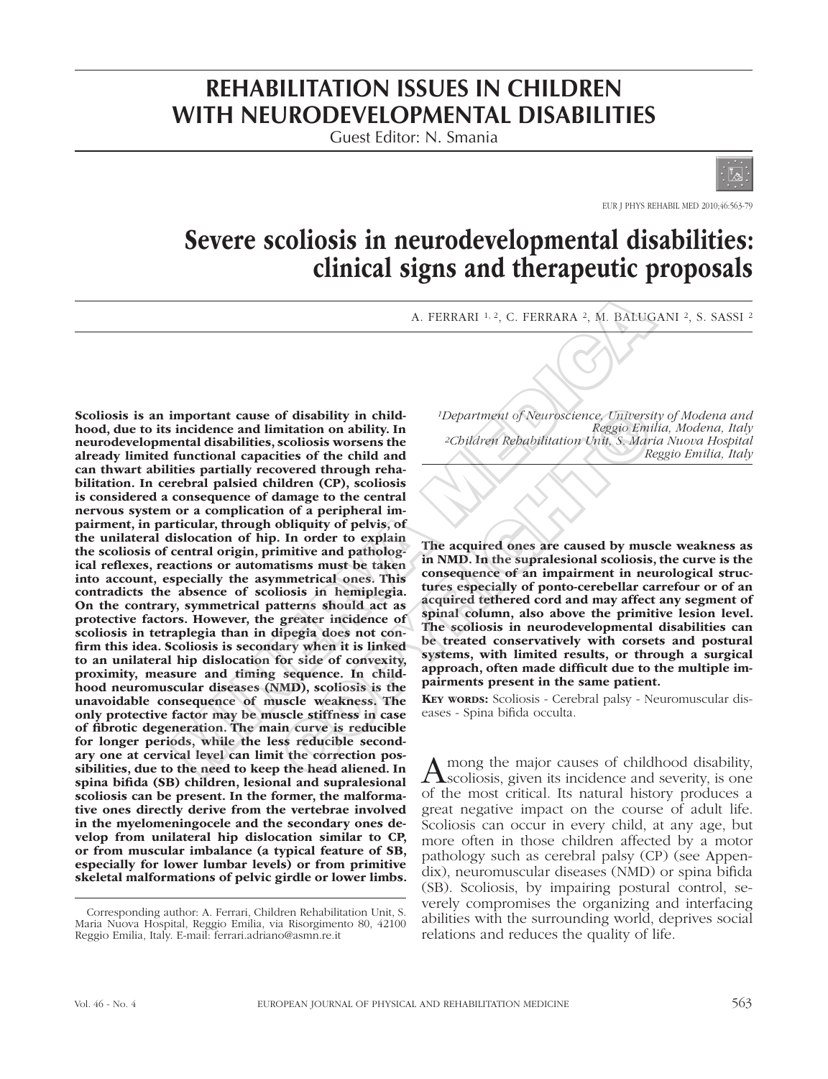# **REHABILITATION ISSUES IN CHILDREN WITH NEURODEVELOPMENTAL DISABILITIES**

Guest Editor: N. Smania



EUR J PHYS REHABIL MED 2010;46:563-79

# Severe scoliosis in neurodevelopmental disabilities: clinical signs and therapeutic proposals

A. FERRARI 1, 2, C. FERRARA 2, M. BALUGANI 2, S. SASSI 2

Scoliosis is an important cause of disability in childhood, due to its incidence and limitation on ability. In neurodevelopmental disabilities, scoliosis worsens the already limited functional capacities of the child and can thwart abilities partially recovered through rehabilitation. In cerebral palsied children (CP), scoliosis is considered a consequence of damage to the central nervous system or a complication of a peripheral impairment, in particular, through obliquity of pelvis, of the unilateral dislocation of hip. In order to explain the scoliosis of central origin, primitive and pathological reflexes, reactions or automatisms must be taken into account, especially the asymmetrical ones. This contradicts the absence of scoliosis in hemiplegia. On the contrary, symmetrical patterns should act as protective factors. However, the greater incidence of scoliosis in tetraplegia than in dipegia does not confirm this idea. Scoliosis is secondary when it is linked to an unilateral hip dislocation for side of convexity, proximity, measure and timing sequence. In childhood neuromuscular diseases (NMD), scoliosis is the unavoidable consequence of muscle weakness. The only protective factor may be muscle stiffness in case of fibrotic degeneration. The main curve is reducible for longer periods, while the less reducible secondary one at cervical level can limit the correction possibilities, due to the need to keep the head aliened. In spina bifida (SB) children, lesional and supralesional scoliosis can be present. In the former, the malformative ones directly derive from the vertebrae involved in the myelomeningocele and the secondary ones develop from unilateral hip dislocation similar to CP, or from muscular imbalance (a typical feature of SB, especially for lower lumbar levels) or from primitive skeletal malformations of pelvic girdle or lower limbs. A. FERRARI  $^{1,2}$ , C. FERRARA 3, Al. BALUC<br>
important cause of disability in child<br>
incidence and imitation on abbility. However, the medical disabilities, scoliosis worsens the<br>
incidence and imitation of a scheme of th of disability in child<br>
intation on ability. In<br>
intation on ability. In<br>
secolosis worsens the<br>
colloises worsens the<br>
correct through reha-<br>
itties of the child and<br>
interest (CP), scoliosis<br>
identic (CP), scoliosis<br>
int

*1Department of Neuroscience, University of Modena and Reggio Emilia, Modena, Italy 2Children Rehabilitation Unit, S. Maria Nuova Hospital Reggio Emilia, Italy* 

The acquired ones are caused by muscle weakness as in NMD. In the supralesional scoliosis, the curve is the consequence of an impairment in neurological structures especially of ponto-cerebellar carrefour or of an acquired tethered cord and may affect any segment of spinal column, also above the primitive lesion level. The scoliosis in neurodevelopmental disabilities can be treated conservatively with corsets and postural systems, with limited results, or through a surgical approach, often made difficult due to the multiple impairments present in the same patient.

KEY WORDS: Scoliosis - Cerebral palsy - Neuromuscular diseases - Spina bifida occulta.

Among the major causes of childhood disability,<br>
Scoliosis, given its incidence and severity, is one of the most critical. Its natural history produces a great negative impact on the course of adult life. Scoliosis can occur in every child, at any age, but more often in those children affected by a motor pathology such as cerebral palsy (CP) (see Appendix), neuromuscular diseases (NMD) or spina bifida (SB). Scoliosis, by impairing postural control, severely compromises the organizing and interfacing abilities with the surrounding world, deprives social relations and reduces the quality of life.

Corresponding author: A. Ferrari, Children Rehabilitation Unit, S. Maria Nuova Hospital, Reggio Emilia, via Risorgimento 80, 42100 Reggio Emilia, Italy. E-mail: ferrari.adriano@asmn.re.it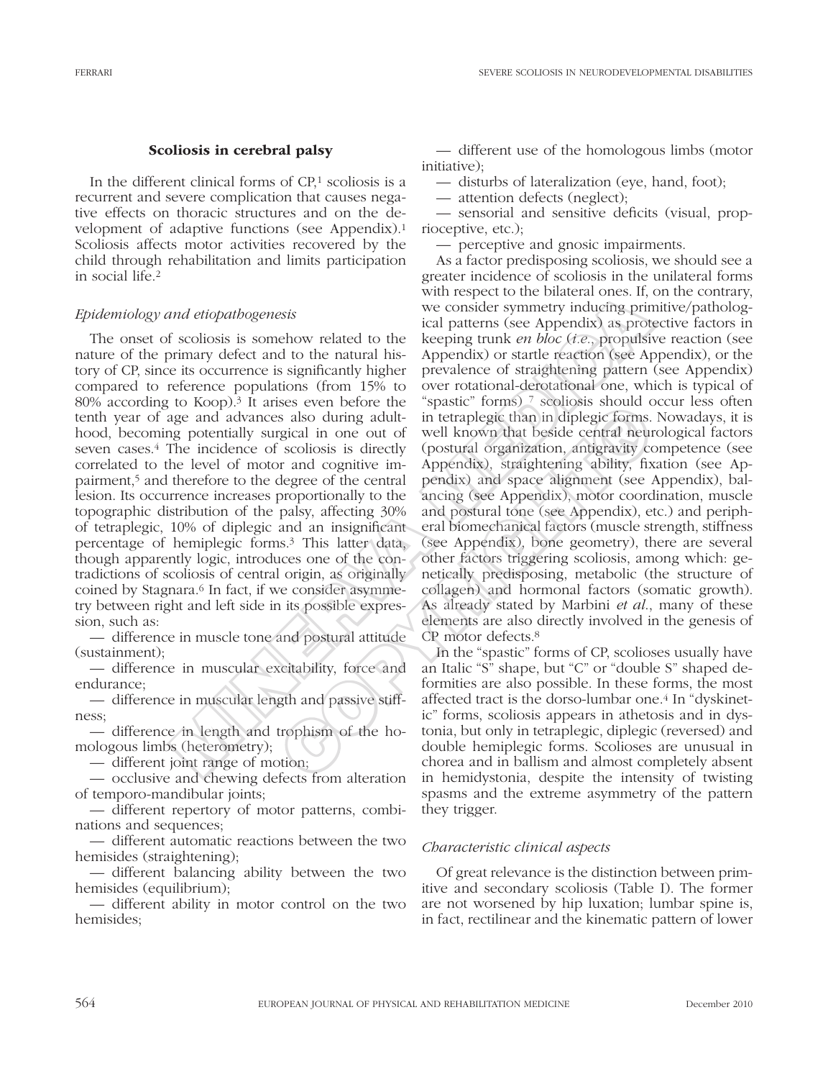### Scoliosis in cerebral palsy

In the different clinical forms of  $CP<sub>1</sub>$  scoliosis is a recurrent and severe complication that causes negative effects on thoracic structures and on the development of adaptive functions (see Appendix).1 Scoliosis affects motor activities recovered by the child through rehabilitation and limits participation in social life.2

### *Epidemiology and etiopathogenesis*

The onset of scoliosis is somehow related to the nature of the primary defect and to the natural history of CP, since its occurrence is significantly higher compared to reference populations (from 15% to 80% according to Koop).3 It arises even before the tenth year of age and advances also during adulthood, becoming potentially surgical in one out of seven cases.4 The incidence of scoliosis is directly correlated to the level of motor and cognitive impairment,5 and therefore to the degree of the central lesion. Its occurrence increases proportionally to the topographic distribution of the palsy, affecting 30% of tetraplegic, 10% of diplegic and an insignificant percentage of hemiplegic forms.3 This latter data, though apparently logic, introduces one of the contradictions of scoliosis of central origin, as originally coined by Stagnara.6 In fact, if we consider asymmetry between right and left side in its possible expression, such as:

— difference in muscle tone and postural attitude (sustainment);

— difference in muscular excitability, force and endurance;

— difference in muscular length and passive stiffness;

— difference in length and trophism of the homologous limbs (heterometry);

— different joint range of motion;

— occlusive and chewing defects from alteration of temporo-mandibular joints;

— different repertory of motor patterns, combinations and sequences;

— different automatic reactions between the two hemisides (straightening);

— different balancing ability between the two hemisides (equilibrium);

— different ability in motor control on the two hemisides;

— different use of the homologous limbs (motor initiative);

— disturbs of lateralization (eye, hand, foot);

— attention defects (neglect);

— sensorial and sensitive deficits (visual, proprioceptive, etc.);

— perceptive and gnosic impairments.

As a factor predisposing scoliosis, we should see a greater incidence of scoliosis in the unilateral forms with respect to the bilateral ones. If, on the contrary, we consider symmetry inducing primitive/pathological patterns (see Appendix) as protective factors in keeping trunk *en bloc* (*i.e*., propulsive reaction (see Appendix) or startle reaction (see Appendix), or the prevalence of straightening pattern (see Appendix) over rotational-derotational one, which is typical of "spastic" forms) 7 scoliosis should occur less often in tetraplegic than in diplegic forms. Nowadays, it is well known that beside central neurological factors (postural organization, antigravity competence (see Appendix), straightening ability, fixation (see Appendix) and space alignment (see Appendix), balancing (see Appendix), motor coordination, muscle and postural tone (see Appendix), etc.) and peripheral biomechanical factors (muscle strength, stiffness (see Appendix), bone geometry), there are several other factors triggering scoliosis, among which: genetically predisposing, metabolic (the structure of collagen) and hormonal factors (somatic growth). As already stated by Marbini *et al*., many of these elements are also directly involved in the genesis of CP motor defects.8 and etiopathogenesis<br>
we consider symmetry inducing principal we consider symmetry inducing princ<br>
is collosis is somehow related to the keeping trunk *en bloc* ( $t.e.,$ ),<br>propulsionimary defect and to the natural his-Appen So several for the space of the comission stock and the space of the coulous and control in tetraplegic than in diplegic forms.<br>
So also during adult- in tetraplegic than in diplegic forms.<br>
Signal in one out of well known

In the "spastic" forms of CP, scolioses usually have an Italic "S" shape, but "C" or "double S" shaped deformities are also possible. In these forms, the most affected tract is the dorso-lumbar one.4 In "dyskinetic" forms, scoliosis appears in athetosis and in dystonia, but only in tetraplegic, diplegic (reversed) and double hemiplegic forms. Scolioses are unusual in chorea and in ballism and almost completely absent in hemidystonia, despite the intensity of twisting spasms and the extreme asymmetry of the pattern they trigger.

### *Characteristic clinical aspects*

Of great relevance is the distinction between primitive and secondary scoliosis (Table I). The former are not worsened by hip luxation; lumbar spine is, in fact, rectilinear and the kinematic pattern of lower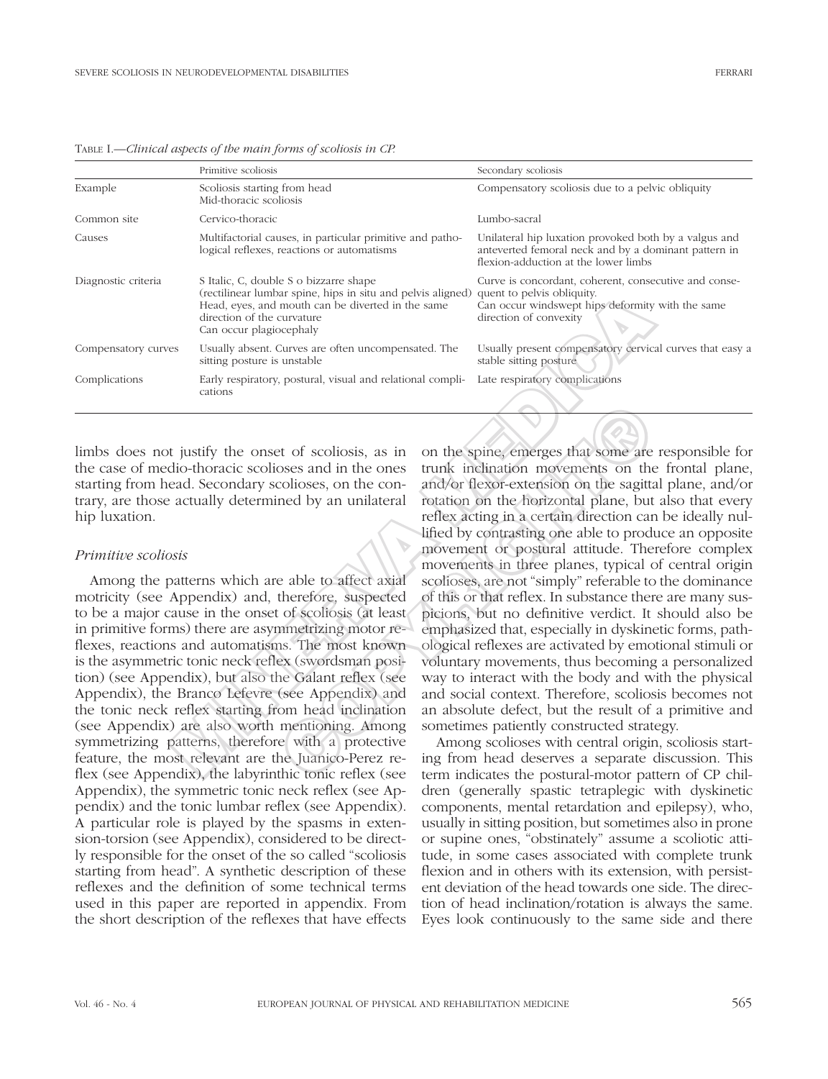|                     | Primitive scoliosis                                                                                                                                                                                                 | Secondary scoliosis                                                                                                                                               |
|---------------------|---------------------------------------------------------------------------------------------------------------------------------------------------------------------------------------------------------------------|-------------------------------------------------------------------------------------------------------------------------------------------------------------------|
| Example             | Scoliosis starting from head<br>Mid-thoracic scoliosis                                                                                                                                                              | Compensatory scoliosis due to a pelvic obliquity                                                                                                                  |
| Common site         | Cervico-thoracic                                                                                                                                                                                                    | Lumbo-sacral                                                                                                                                                      |
| Causes              | Multifactorial causes, in particular primitive and patho-<br>logical reflexes, reactions or automatisms                                                                                                             | Unilateral hip luxation provoked both by a valgus and<br>anteverted femoral neck and by a dominant pattern in<br>flexion-adduction at the lower limbs             |
| Diagnostic criteria | S Italic, C, double S o bizzarre shape<br>(rectilinear lumbar spine, hips in situ and pelvis aligned)<br>Head, eyes, and mouth can be diverted in the same<br>direction of the curvature<br>Can occur plagiocephaly | Curve is concordant, coherent, consecutive and conse-<br>quent to pelvis obliquity.<br>Can occur windswept hips deformity with the same<br>direction of convexity |
| Compensatory curves | Usually absent. Curves are often uncompensated. The<br>sitting posture is unstable                                                                                                                                  | Usually present compensatory cervical curves that easy a<br>stable sitting posture                                                                                |
| Complications       | Early respiratory, postural, visual and relational compli-<br>cations                                                                                                                                               | Late respiratory complications                                                                                                                                    |

Table I.—*Clinical aspects of the main forms of scoliosis in CP.*

limbs does not justify the onset of scoliosis, as in the case of medio-thoracic scolioses and in the ones starting from head. Secondary scolioses, on the contrary, are those actually determined by an unilateral hip luxation.

### *Primitive scoliosis*

Among the patterns which are able to affect axial motricity (see Appendix) and, therefore, suspected to be a major cause in the onset of scoliosis (at least in primitive forms) there are asymmetrizing motor reflexes, reactions and automatisms. The most known is the asymmetric tonic neck reflex (swordsman position) (see Appendix), but also the Galant reflex (see Appendix), the Branco Lefevre (see Appendix) and the tonic neck reflex starting from head inclination (see Appendix) are also worth mentioning. Among symmetrizing patterns, therefore with a protective feature, the most relevant are the Juanico-Perez reflex (see Appendix), the labyrinthic tonic reflex (see Appendix), the symmetric tonic neck reflex (see Appendix) and the tonic lumbar reflex (see Appendix). A particular role is played by the spasms in extension-torsion (see Appendix), considered to be directly responsible for the onset of the so called "scoliosis starting from head". A synthetic description of these reflexes and the definition of some technical terms used in this paper are reported in appendix. From the short description of the reflexes that have effects

on the spine, emerges that some are responsible for trunk inclination movements on the frontal plane, and/or flexor-extension on the sagittal plane, and/or rotation on the horizontal plane, but also that every reflex acting in a certain direction can be ideally nullified by contrasting one able to produce an opposite movement or postural attitude. Therefore complex movements in three planes, typical of central origin scolioses, are not "simply" referable to the dominance of this or that reflex. In substance there are many suspicions, but no definitive verdict. It should also be emphasized that, especially in dyskinetic forms, pathological reflexes are activated by emotional stimuli or voluntary movements, thus becoming a personalized way to interact with the body and with the physical and social context. Therefore, scoliosis becomes not an absolute defect, but the result of a primitive and sometimes patiently constructed strategy. textant of the curver on the state and provising the state of the curver of the curver of the curver of the curver comparison of the curver of the curver of the curver of the curver of the curver of the curver of the curve extra of scoliosis, as in on the spine, emerges that some are osses and in the ones trunk inclination movements on the colioses, on the con-<br>and/or flexor-extension on the sagittaned by an unilateral rotation on the horizo

Among scolioses with central origin, scoliosis starting from head deserves a separate discussion. This term indicates the postural-motor pattern of CP children (generally spastic tetraplegic with dyskinetic components, mental retardation and epilepsy), who, usually in sitting position, but sometimes also in prone or supine ones, "obstinately" assume a scoliotic attitude, in some cases associated with complete trunk flexion and in others with its extension, with persistent deviation of the head towards one side. The direction of head inclination/rotation is always the same. Eyes look continuously to the same side and there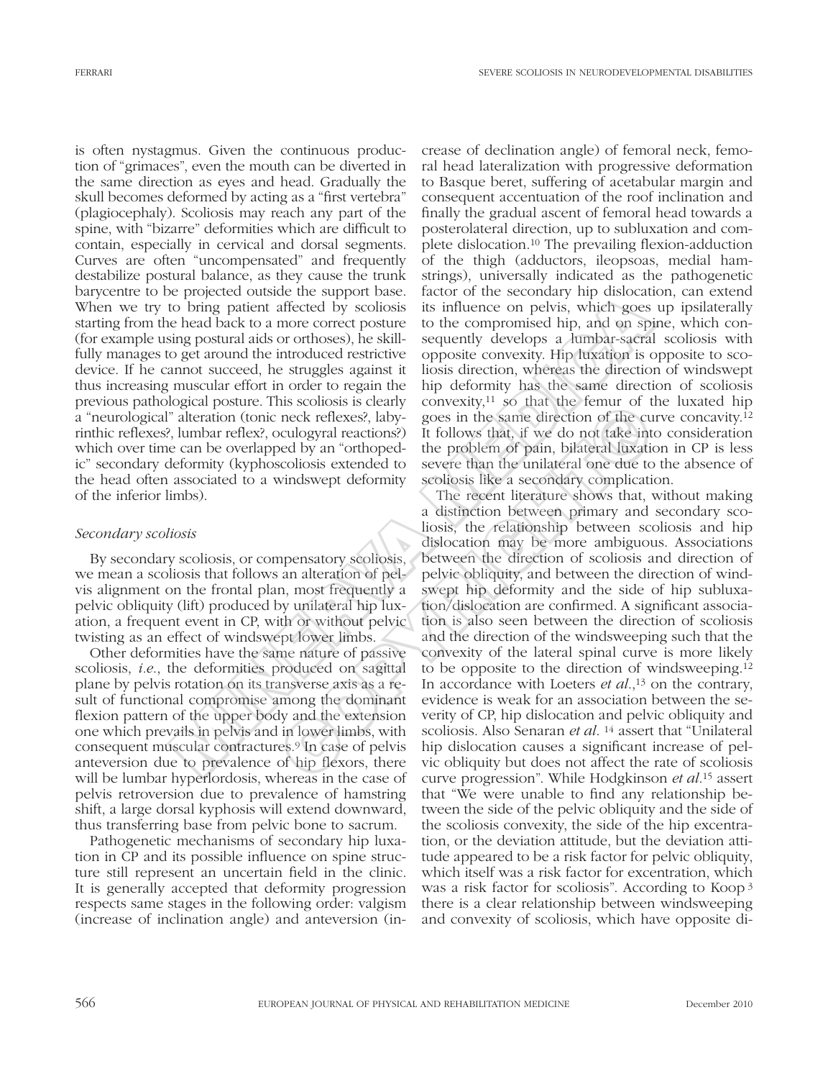is often nystagmus. Given the continuous production of "grimaces", even the mouth can be diverted in the same direction as eyes and head. Gradually the skull becomes deformed by acting as a "first vertebra" (plagiocephaly). Scoliosis may reach any part of the spine, with "bizarre" deformities which are difficult to contain, especially in cervical and dorsal segments. Curves are often "uncompensated" and frequently destabilize postural balance, as they cause the trunk barycentre to be projected outside the support base. When we try to bring patient affected by scoliosis starting from the head back to a more correct posture (for example using postural aids or orthoses), he skillfully manages to get around the introduced restrictive device. If he cannot succeed, he struggles against it thus increasing muscular effort in order to regain the previous pathological posture. This scoliosis is clearly a "neurological" alteration (tonic neck reflexes?, labyrinthic reflexes?, lumbar reflex?, oculogyral reactions?) which over time can be overlapped by an "orthopedic" secondary deformity (kyphoscoliosis extended to the head often associated to a windswept deformity of the inferior limbs).

### *Secondary scoliosis*

By secondary scoliosis, or compensatory scoliosis, we mean a scoliosis that follows an alteration of pelvis alignment on the frontal plan, most frequently a pelvic obliquity (lift) produced by unilateral hip luxation, a frequent event in CP, with or without pelvic twisting as an effect of windswept lower limbs.

Other deformities have the same nature of passive scoliosis, *i.e*., the deformities produced on sagittal plane by pelvis rotation on its transverse axis as a result of functional compromise among the dominant flexion pattern of the upper body and the extension one which prevails in pelvis and in lower limbs, with consequent muscular contractures.9 In case of pelvis anteversion due to prevalence of hip flexors, there will be lumbar hyperlordosis, whereas in the case of pelvis retroversion due to prevalence of hamstring shift, a large dorsal kyphosis will extend downward, thus transferring base from pelvic bone to sacrum.

Pathogenetic mechanisms of secondary hip luxation in CP and its possible influence on spine structure still represent an uncertain field in the clinic. It is generally accepted that deformity progression respects same stages in the following order: valgism (increase of inclination angle) and anteversion (increase of declination angle) of femoral neck, femoral head lateralization with progressive deformation to Basque beret, suffering of acetabular margin and consequent accentuation of the roof inclination and finally the gradual ascent of femoral head towards a posterolateral direction, up to subluxation and complete dislocation.10 The prevailing flexion-adduction of the thigh (adductors, ileopsoas, medial hamstrings), universally indicated as the pathogenetic factor of the secondary hip dislocation, can extend its influence on pelvis, which goes up ipsilaterally to the compromised hip, and on spine, which consequently develops a lumbar-sacral scoliosis with opposite convexity. Hip luxation is opposite to scoliosis direction, whereas the direction of windswept hip deformity has the same direction of scoliosis convexity, $11$  so that the femur of the luxated hip goes in the same direction of the curve concavity.12 It follows that, if we do not take into consideration the problem of pain, bilateral luxation in CP is less severe than the unilateral one due to the absence of scoliosis like a secondary complication.

The recent literature shows that, without making a distinction between primary and secondary scoliosis, the relationship between scoliosis and hip dislocation may be more ambiguous. Associations between the direction of scoliosis and direction of pelvic obliquity, and between the direction of windswept hip deformity and the side of hip subluxation/dislocation are confirmed. A significant association is also seen between the direction of scoliosis and the direction of the windsweeping such that the convexity of the lateral spinal curve is more likely to be opposite to the direction of windsweeping.12 In accordance with Loeters *et al.*,<sup>13</sup> on the contrary, evidence is weak for an association between the severity of CP, hip dislocation and pelvic obliquity and scoliosis. Also Senaran *et al*. 14 assert that "Unilateral hip dislocation causes a significant increase of pelvic obliquity but does not affect the rate of scoliosis curve progression". While Hodgkinson *et al*.15 assert that "We were unable to find any relationship between the side of the pelvic obliquity and the side of the scoliosis convexity, the side of the hip excentration, or the deviation attitude, but the deviation attitude appeared to be a risk factor for pelvic obliquity, which itself was a risk factor for excentration, which was a risk factor for scoliosis". According to Koop <sup>3</sup> there is a clear relationship between windsweeping and convexity of scoliosis, which have opposite di-Proposed ones are solution to solution the section of the proposition of the particle discussion in such as the change in the same of the componised hip, and on spin-<br>parama postural aids or othoses), he skill-sequently d as socious is cually convexity, so that the chain of the extended by an accordingly and the condition of the cuality considered by an "orthoped-the problem of pain, bilateral luxatic collosis extended to severe than the u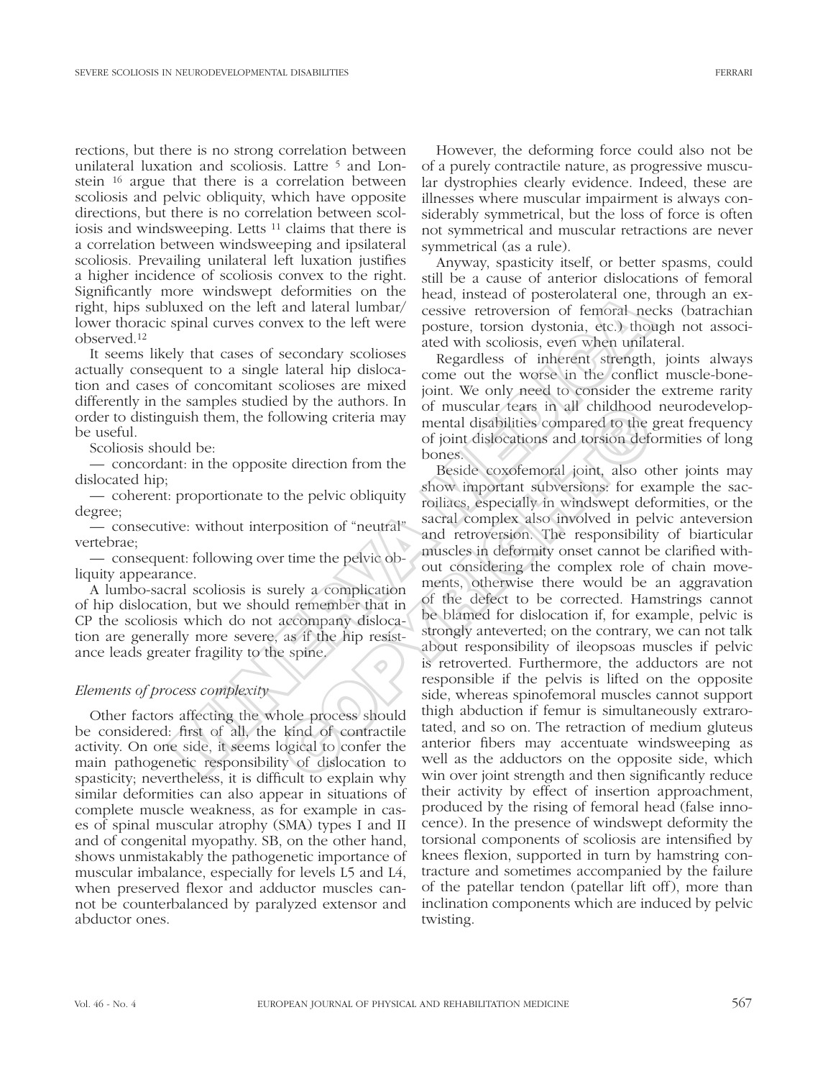rections, but there is no strong correlation between unilateral luxation and scoliosis. Lattre <sup>5</sup> and Lonstein 16 argue that there is a correlation between scoliosis and pelvic obliquity, which have opposite directions, but there is no correlation between scoliosis and windsweeping. Letts 11 claims that there is a correlation between windsweeping and ipsilateral scoliosis. Prevailing unilateral left luxation justifies a higher incidence of scoliosis convex to the right. Significantly more windswept deformities on the right, hips subluxed on the left and lateral lumbar/ lower thoracic spinal curves convex to the left were observed.12

It seems likely that cases of secondary scolioses actually consequent to a single lateral hip dislocation and cases of concomitant scolioses are mixed differently in the samples studied by the authors. In order to distinguish them, the following criteria may be useful.

Scoliosis should be:

— concordant: in the opposite direction from the dislocated hip;

— coherent: proportionate to the pelvic obliquity degree;

— consecutive: without interposition of "neutral" vertebrae;

— consequent: following over time the pelvic obliquity appearance.

A lumbo-sacral scoliosis is surely a complication of hip dislocation, but we should remember that in CP the scoliosis which do not accompany dislocation are generally more severe, as if the hip resistance leads greater fragility to the spine.

## *Elements of process complexity*

Other factors affecting the whole process should be considered: first of all, the kind of contractile activity. On one side, it seems logical to confer the main pathogenetic responsibility of dislocation to spasticity; nevertheless, it is difficult to explain why similar deformities can also appear in situations of complete muscle weakness, as for example in cases of spinal muscular atrophy (SMA) types I and II and of congenital myopathy. SB, on the other hand, shows unmistakably the pathogenetic importance of muscular imbalance, especially for levels L5 and L4, when preserved flexor and adductor muscles cannot be counterbalanced by paralyzed extensor and abductor ones.

However, the deforming force could also not be of a purely contractile nature, as progressive muscular dystrophies clearly evidence. Indeed, these are illnesses where muscular impairment is always considerably symmetrical, but the loss of force is often not symmetrical and muscular retractions are never symmetrical (as a rule).

Anyway, spasticity itself, or better spasms, could still be a cause of anterior dislocations of femoral head, instead of posterolateral one, through an excessive retroversion of femoral necks (batrachian posture, torsion dystonia, etc.) though not associated with scoliosis, even when unilateral.

Regardless of inherent strength, joints always come out the worse in the conflict muscle-bonejoint. We only need to consider the extreme rarity of muscular tears in all childhood neurodevelopmental disabilities compared to the great frequency of joint dislocations and torsion deformities of long bones.

Beside coxofemoral joint, also other joints may show important subversions: for example the sacroiliacs, especially in windswept deformities, or the sacral complex also involved in pelvic anteversion and retroversion. The responsibility of biarticular muscles in deformity onset cannot be clarified without considering the complex role of chain movements, otherwise there would be an aggravation of the defect to be corrected. Hamstrings cannot be blamed for dislocation if, for example, pelvic is strongly anteverted; on the contrary, we can not talk about responsibility of ileopsoas muscles if pelvic is retroverted. Furthermore, the adductors are not responsible if the pelvis is lifted on the opposite side, whereas spinofemoral muscles cannot support thigh abduction if femur is simultaneously extrarotated, and so on. The retraction of medium gluteus anterior fibers may accentuate windsweeping as well as the adductors on the opposite side, which win over joint strength and then significantly reduce their activity by effect of insertion approachment, produced by the rising of femoral head (false innocence). In the presence of windswept deformity the torsional components of scoliosis are intensified by knees flexion, supported in turn by hamstring contracture and sometimes accompanied by the failure of the patellar tendon (patellar lift off), more than inclination components which are induced by pelvic twisting. by that cases of secondary solid experiments of the head and passive retroversion of femoral neespinal curves convex to the left were posture, torsion dystonia, etc.) those legardless event when with scores are with scores The analysis of muscular tears in all childhood<br>
llowing criteria may mental disabilities compared to the inductions<br>
the edirection from the the seside coxofemoral joint, also or<br>
the pelvic obliquity sacral complex also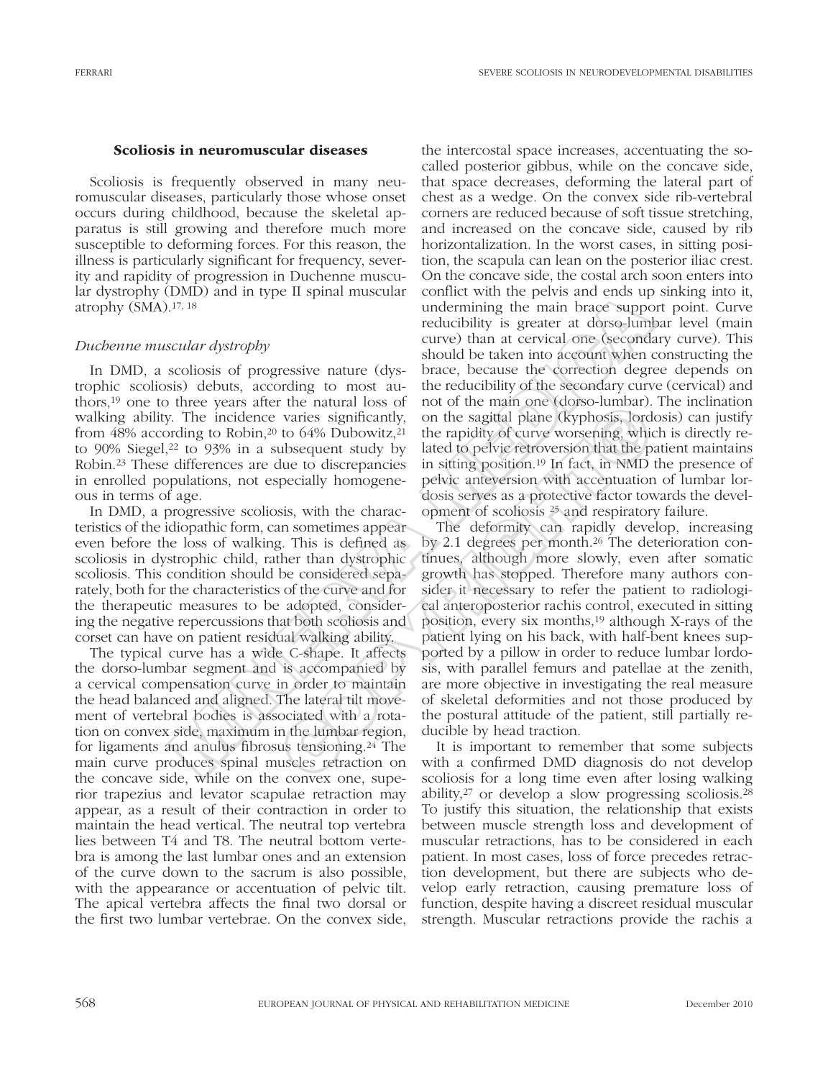### Scoliosis in neuromuscular diseases

Scoliosis is frequently observed in many neuromuscular diseases, particularly those whose onset occurs during childhood, because the skeletal apparatus is still growing and therefore much more susceptible to deforming forces. For this reason, the illness is particularly significant for frequency, severity and rapidity of progression in Duchenne muscular dystrophy (DMD) and in type II spinal muscular atrophy (SMA).17, 18

# *Duchenne muscular dystrophy*

In DMD, a scoliosis of progressive nature (dystrophic scoliosis) debuts, according to most authors,19 one to three years after the natural loss of walking ability. The incidence varies significantly, from 48% according to Robin,<sup>20</sup> to 64% Dubowitz,<sup>21</sup> to  $90\%$  Siegel,<sup>22</sup> to  $93\%$  in a subsequent study by Robin.23 These differences are due to discrepancies in enrolled populations, not especially homogeneous in terms of age.

In DMD, a progressive scoliosis, with the characteristics of the idiopathic form, can sometimes appear even before the loss of walking. This is defined as scoliosis in dystrophic child, rather than dystrophic scoliosis. This condition should be considered separately, both for the characteristics of the curve and for the therapeutic measures to be adopted, considering the negative repercussions that both scoliosis and corset can have on patient residual walking ability.

The typical curve has a wide C-shape. It affects the dorso-lumbar segment and is accompanied by a cervical compensation curve in order to maintain the head balanced and aligned. The lateral tilt movement of vertebral bodies is associated with a rotation on convex side, maximum in the lumbar region, for ligaments and anulus fibrosus tensioning.24 The main curve produces spinal muscles retraction on the concave side, while on the convex one, superior trapezius and levator scapulae retraction may appear, as a result of their contraction in order to maintain the head vertical. The neutral top vertebra lies between T4 and T8. The neutral bottom vertebra is among the last lumbar ones and an extension of the curve down to the sacrum is also possible, with the appearance or accentuation of pelvic tilt. The apical vertebra affects the final two dorsal or the first two lumbar vertebrae. On the convex side,

the intercostal space increases, accentuating the socalled posterior gibbus, while on the concave side, that space decreases, deforming the lateral part of chest as a wedge. On the convex side rib-vertebral corners are reduced because of soft tissue stretching, and increased on the concave side, caused by rib horizontalization. In the worst cases, in sitting position, the scapula can lean on the posterior iliac crest. On the concave side, the costal arch soon enters into conflict with the pelvis and ends up sinking into it, undermining the main brace support point. Curve reducibility is greater at dorso-lumbar level (main curve) than at cervical one (secondary curve). This should be taken into account when constructing the brace, because the correction degree depends on the reducibility of the secondary curve (cervical) and not of the main one (dorso-lumbar). The inclination on the sagittal plane (kyphosis, lordosis) can justify the rapidity of curve worsening, which is directly related to pelvic retroversion that the patient maintains in sitting position.19 In fact, in NMD the presence of pelvic anteversion with accentuation of lumbar lordosis serves as a protective factor towards the development of scoliosis 25 and respiratory failure. Entrainmum and provident want the privation of the state and consideration in the state and the state and the state and the state and the state of the state. Here is the constantinuous sis) debuts, according to most antic

The deformity can rapidly develop, increasing by 2.1 degrees per month.26 The deterioration continues, although more slowly, even after somatic growth has stopped. Therefore many authors consider it necessary to refer the patient to radiological anteroposterior rachis control, executed in sitting position, every six months,19 although X-rays of the patient lying on his back, with half-bent knees supported by a pillow in order to reduce lumbar lordosis, with parallel femurs and patellae at the zenith, are more objective in investigating the real measure of skeletal deformities and not those produced by the postural attitude of the patient, still partially reducible by head traction. For the natural ross of not of the main one (was experiment).<br>
varies significantly, on the sagital plane (kyphosis, lord<br>
to 64% Dubowitz,<sup>21</sup> the rapidity of curve worsening, whice<br>
ubsequent study by lated to pelvic re

It is important to remember that some subjects with a confirmed DMD diagnosis do not develop scoliosis for a long time even after losing walking ability,27 or develop a slow progressing scoliosis.28 To justify this situation, the relationship that exists between muscle strength loss and development of muscular retractions, has to be considered in each patient. In most cases, loss of force precedes retraction development, but there are subjects who develop early retraction, causing premature loss of function, despite having a discreet residual muscular strength. Muscular retractions provide the rachis a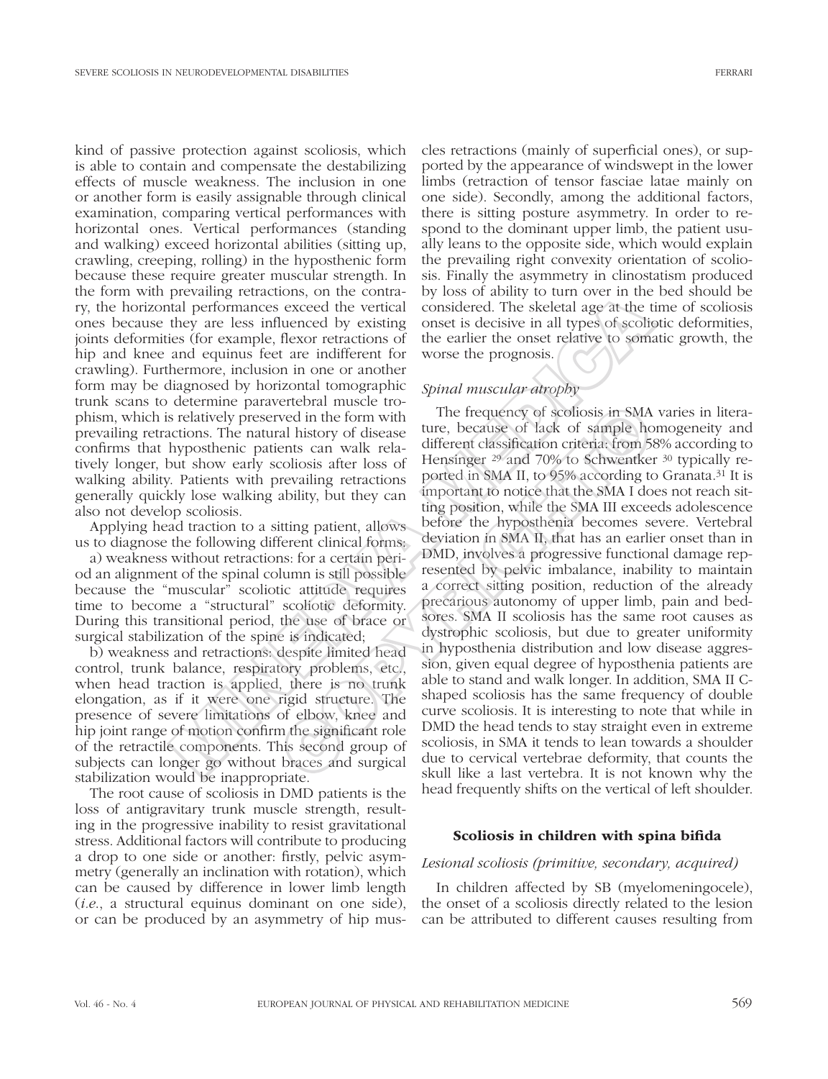kind of passive protection against scoliosis, which is able to contain and compensate the destabilizing effects of muscle weakness. The inclusion in one or another form is easily assignable through clinical examination, comparing vertical performances with horizontal ones. Vertical performances (standing and walking) exceed horizontal abilities (sitting up, crawling, creeping, rolling) in the hyposthenic form because these require greater muscular strength. In the form with prevailing retractions, on the contrary, the horizontal performances exceed the vertical ones because they are less influenced by existing joints deformities (for example, flexor retractions of hip and knee and equinus feet are indifferent for crawling). Furthermore, inclusion in one or another form may be diagnosed by horizontal tomographic trunk scans to determine paravertebral muscle trophism, which is relatively preserved in the form with prevailing retractions. The natural history of disease confirms that hyposthenic patients can walk relatively longer, but show early scoliosis after loss of walking ability. Patients with prevailing retractions generally quickly lose walking ability, but they can also not develop scoliosis.

Applying head traction to a sitting patient, allows us to diagnose the following different clinical forms:

a) weakness without retractions: for a certain period an alignment of the spinal column is still possible because the "muscular" scoliotic attitude requires time to become a "structural" scoliotic deformity. During this transitional period, the use of brace or surgical stabilization of the spine is indicated;

b) weakness and retractions: despite limited head control, trunk balance, respiratory problems, etc., when head traction is applied, there is no trunk elongation, as if it were one rigid structure. The presence of severe limitations of elbow, knee and hip joint range of motion confirm the significant role of the retractile components. This second group of subjects can longer go without braces and surgical stabilization would be inappropriate.

The root cause of scoliosis in DMD patients is the loss of antigravitary trunk muscle strength, resulting in the progressive inability to resist gravitational stress. Additional factors will contribute to producing a drop to one side or another: firstly, pelvic asymmetry (generally an inclination with rotation), which can be caused by difference in lower limb length (*i.e*., a structural equinus dominant on one side), or can be produced by an asymmetry of hip muscles retractions (mainly of superficial ones), or supported by the appearance of windswept in the lower limbs (retraction of tensor fasciae latae mainly on one side). Secondly, among the additional factors, there is sitting posture asymmetry. In order to respond to the dominant upper limb, the patient usually leans to the opposite side, which would explain the prevailing right convexity orientation of scoliosis. Finally the asymmetry in clinostatism produced by loss of ability to turn over in the bed should be considered. The skeletal age at the time of scoliosis onset is decisive in all types of scoliotic deformities, the earlier the onset relative to somatic growth, the worse the prognosis.

# *Spinal muscular atrophy*

The frequency of scoliosis in SMA varies in literature, because of lack of sample homogeneity and different classification criteria: from 58% according to Hensinger 29 and 70% to Schwentker 30 typically reported in SMA II, to 95% according to Granata.31 It is important to notice that the SMA I does not reach sitting position, while the SMA III exceeds adolescence before the hyposthenia becomes severe. Vertebral deviation in SMA II, that has an earlier onset than in DMD, involves a progressive functional damage represented by pelvic imbalance, inability to maintain a correct sitting position, reduction of the already precarious autonomy of upper limb, pain and bedsores. SMA II scoliosis has the same root causes as dystrophic scoliosis, but due to greater uniformity in hyposthenia distribution and low disease aggression, given equal degree of hyposthenia patients are able to stand and walk longer. In addition, SMA II Cshaped scoliosis has the same frequency of double curve scoliosis. It is interesting to note that while in DMD the head tends to stay straight even in extreme scoliosis, in SMA it tends to lean towards a shoulder due to cervical vertebrae deformity, that counts the skull like a last vertebra. It is not known why the head frequently shifts on the vertical of left shoulder. provaing tenacions, on an exonical consideration of the special performances exceed the vertical considered. The skeletial age at the the set is filtered by existing onest is decisive in all types of scolification and equi evection in social controls and the born with<br>
red in the form with<br>
red in the form with<br>
red in the compact of the different cass of the same of lack of sample ho<br>
ents can walk rela-<br>
different classification criteria f

### Scoliosis in children with spina bifida

### *Lesional scoliosis (primitive, secondary, acquired)*

In children affected by SB (myelomeningocele), the onset of a scoliosis directly related to the lesion can be attributed to different causes resulting from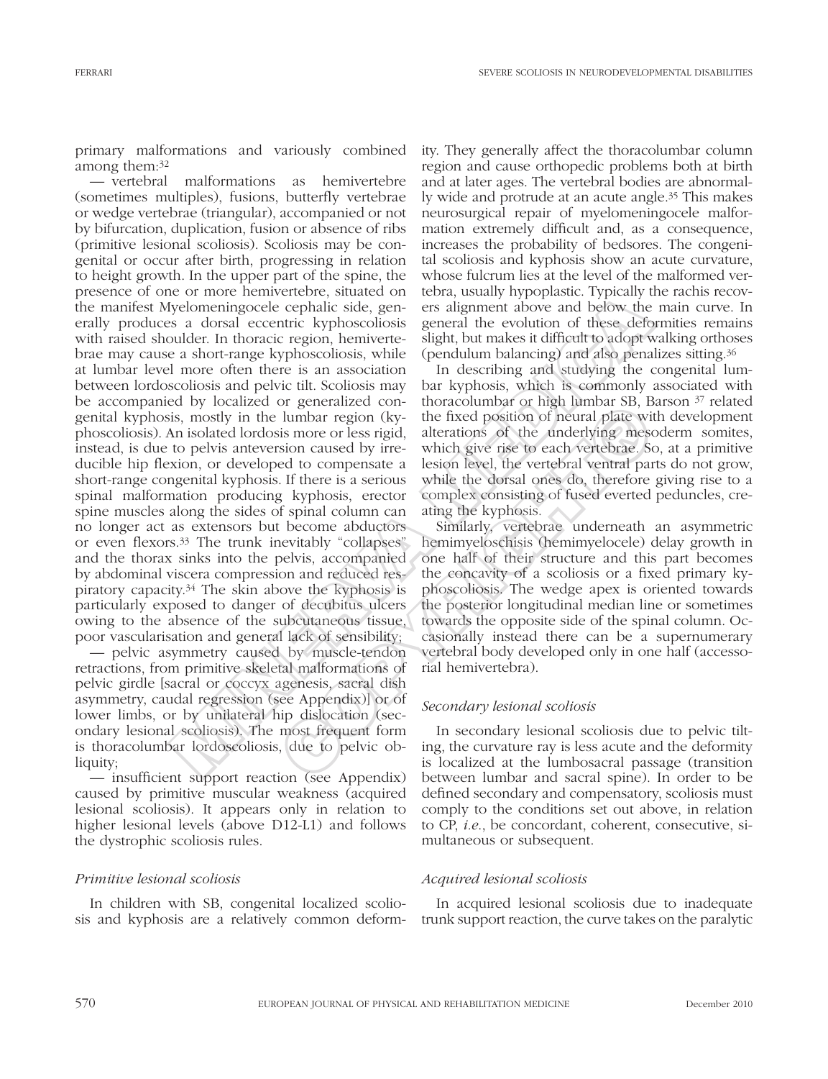primary malformations and variously combined among them:32

— vertebral malformations as hemivertebre (sometimes multiples), fusions, butterfly vertebrae or wedge vertebrae (triangular), accompanied or not by bifurcation, duplication, fusion or absence of ribs (primitive lesional scoliosis). Scoliosis may be congenital or occur after birth, progressing in relation to height growth. In the upper part of the spine, the presence of one or more hemivertebre, situated on the manifest Myelomeningocele cephalic side, generally produces a dorsal eccentric kyphoscoliosis with raised shoulder. In thoracic region, hemivertebrae may cause a short-range kyphoscoliosis, while at lumbar level more often there is an association between lordoscoliosis and pelvic tilt. Scoliosis may be accompanied by localized or generalized congenital kyphosis, mostly in the lumbar region (kyphoscoliosis). An isolated lordosis more or less rigid, instead, is due to pelvis anteversion caused by irreducible hip flexion, or developed to compensate a short-range congenital kyphosis. If there is a serious spinal malformation producing kyphosis, erector spine muscles along the sides of spinal column can no longer act as extensors but become abductors or even flexors.33 The trunk inevitably "collapses" and the thorax sinks into the pelvis, accompanied by abdominal viscera compression and reduced respiratory capacity.34 The skin above the kyphosis is particularly exposed to danger of decubitus ulcers owing to the absence of the subcutaneous tissue, poor vascularisation and general lack of sensibility; or and enconcere, smalled on cours, usawy inylopasae. Type<br>and or a most resultation in consideratively bosocolosis general the evolution of these deffered<br>term in societies and notice and the system and below the same an

— pelvic asymmetry caused by muscle-tendon retractions, from primitive skeletal malformations of pelvic girdle [sacral or coccyx agenesis, sacral dish asymmetry, caudal regression (see Appendix)] or of lower limbs, or by unilateral hip dislocation (secondary lesional scoliosis). The most frequent form is thoracolumbar lordoscoliosis, due to pelvic obliquity;

— insufficient support reaction (see Appendix) caused by primitive muscular weakness (acquired lesional scoliosis). It appears only in relation to higher lesional levels (above D12-L1) and follows the dystrophic scoliosis rules.

# *Primitive lesional scoliosis*

In children with SB, congenital localized scoliosis and kyphosis are a relatively common deformity. They generally affect the thoracolumbar column region and cause orthopedic problems both at birth and at later ages. The vertebral bodies are abnormally wide and protrude at an acute angle.35 This makes neurosurgical repair of myelomeningocele malformation extremely difficult and, as a consequence, increases the probability of bedsores. The congenital scoliosis and kyphosis show an acute curvature, whose fulcrum lies at the level of the malformed vertebra, usually hypoplastic. Typically the rachis recovers alignment above and below the main curve. In general the evolution of these deformities remains slight, but makes it difficult to adopt walking orthoses (pendulum balancing) and also penalizes sitting.36

In describing and studying the congenital lumbar kyphosis, which is commonly associated with thoracolumbar or high lumbar SB, Barson 37 related the fixed position of neural plate with development alterations of the underlying mesoderm somites, which give rise to each vertebrae. So, at a primitive lesion level, the vertebral ventral parts do not grow, while the dorsal ones do, therefore giving rise to a complex consisting of fused everted peduncles, creating the kyphosis.

Similarly, vertebrae underneath an asymmetric hemimyeloschisis (hemimyelocele) delay growth in one half of their structure and this part becomes the concavity of a scoliosis or a fixed primary kyphoscoliosis. The wedge apex is oriented towards the posterior longitudinal median line or sometimes towards the opposite side of the spinal column. Occasionally instead there can be a supernumerary vertebral body developed only in one half (accessorial hemivertebra). or generated con-<br>anomogy and the statement of magnitum of the position of neural plate with<br>is more or less rigid, alterations of the underlying mess<br>is more or less rigid, alterations of the underlying mess<br>is more or l

# *Secondary lesional scoliosis*

In secondary lesional scoliosis due to pelvic tilting, the curvature ray is less acute and the deformity is localized at the lumbosacral passage (transition between lumbar and sacral spine). In order to be defined secondary and compensatory, scoliosis must comply to the conditions set out above, in relation to CP, *i.e*., be concordant, coherent, consecutive, simultaneous or subsequent.

# *Acquired lesional scoliosis*

In acquired lesional scoliosis due to inadequate trunk support reaction, the curve takes on the paralytic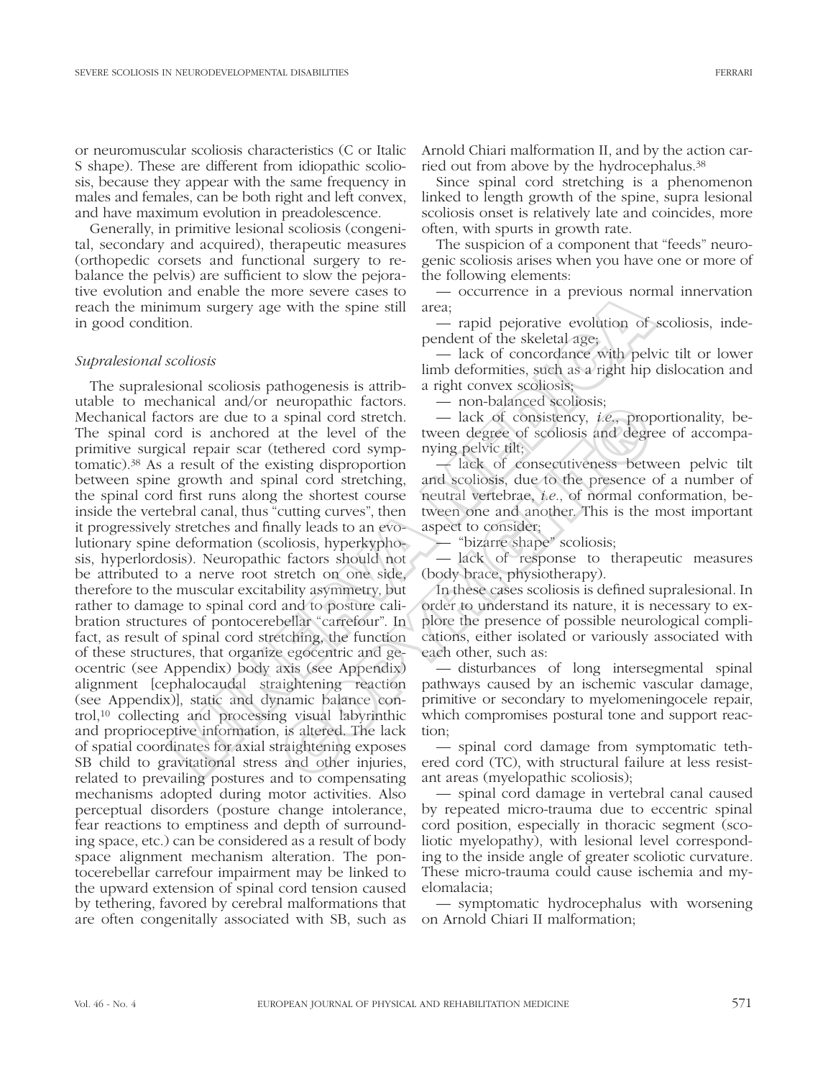or neuromuscular scoliosis characteristics (C or Italic S shape). These are different from idiopathic scoliosis, because they appear with the same frequency in males and females, can be both right and left convex, and have maximum evolution in preadolescence.

Generally, in primitive lesional scoliosis (congenital, secondary and acquired), therapeutic measures (orthopedic corsets and functional surgery to rebalance the pelvis) are sufficient to slow the pejorative evolution and enable the more severe cases to reach the minimum surgery age with the spine still in good condition.

## *Supralesional scoliosis*

The supralesional scoliosis pathogenesis is attributable to mechanical and/or neuropathic factors. Mechanical factors are due to a spinal cord stretch. The spinal cord is anchored at the level of the primitive surgical repair scar (tethered cord symptomatic).38 As a result of the existing disproportion between spine growth and spinal cord stretching, the spinal cord first runs along the shortest course inside the vertebral canal, thus "cutting curves", then it progressively stretches and finally leads to an evolutionary spine deformation (scoliosis, hyperkyphosis, hyperlordosis). Neuropathic factors should not be attributed to a nerve root stretch on one side, therefore to the muscular excitability asymmetry, but rather to damage to spinal cord and to posture calibration structures of pontocerebellar "carrefour". In fact, as result of spinal cord stretching, the function of these structures, that organize egocentric and geocentric (see Appendix) body axis (see Appendix) alignment [cephalocaudal straightening reaction (see Appendix)], static and dynamic balance control,10 collecting and processing visual labyrinthic and proprioceptive information, is altered. The lack of spatial coordinates for axial straightening exposes SB child to gravitational stress and other injuries, related to prevailing postures and to compensating mechanisms adopted during motor activities. Also perceptual disorders (posture change intolerance, fear reactions to emptiness and depth of surrounding space, etc.) can be considered as a result of body space alignment mechanism alteration. The pontocerebellar carrefour impairment may be linked to the upward extension of spinal cord tension caused by tethering, favored by cerebral malformations that are often congenitally associated with SB, such as and valid consider into severe cases to the minimum surgery age with the spine still area,<br>
mum surgery age with the spine still area,<br>  $\frac{1}{2}$  and performation of<br>  $\frac{1}{2}$  and performation and performation of<br>  $\frac{1}{$ Explainate accounts. — inter-bandanced accordosis,<br>spinal cord stretch. — lack of consistency, *i.e.*, prop<br>at the level of the tween degree of scoliosis and degree<br>thered cord symp-<br>mying pelvic tilt;<br>tisting disproporti

Arnold Chiari malformation II, and by the action carried out from above by the hydrocephalus.38

Since spinal cord stretching is a phenomenon linked to length growth of the spine, supra lesional scoliosis onset is relatively late and coincides, more often, with spurts in growth rate.

The suspicion of a component that "feeds" neurogenic scoliosis arises when you have one or more of the following elements:

— occurrence in a previous normal innervation area;

— rapid pejorative evolution of scoliosis, independent of the skeletal age;

— lack of concordance with pelvic tilt or lower limb deformities, such as a right hip dislocation and a right convex scoliosis;

— non-balanced scoliosis;

— lack of consistency, *i.e*., proportionality, between degree of scoliosis and degree of accompanying pelvic tilt;

— lack of consecutiveness between pelvic tilt and scoliosis, due to the presence of a number of neutral vertebrae, *i.e*., of normal conformation, between one and another. This is the most important aspect to consider;

— "bizarre shape" scoliosis;

— lack of response to therapeutic measures (body brace, physiotherapy).

In these cases scoliosis is defined supralesional. In order to understand its nature, it is necessary to explore the presence of possible neurological complications, either isolated or variously associated with each other, such as:

— disturbances of long intersegmental spinal pathways caused by an ischemic vascular damage, primitive or secondary to myelomeningocele repair, which compromises postural tone and support reaction;

— spinal cord damage from symptomatic tethered cord (TC), with structural failure at less resistant areas (myelopathic scoliosis);

— spinal cord damage in vertebral canal caused by repeated micro-trauma due to eccentric spinal cord position, especially in thoracic segment (scoliotic myelopathy), with lesional level corresponding to the inside angle of greater scoliotic curvature. These micro-trauma could cause ischemia and myelomalacia;

— symptomatic hydrocephalus with worsening on Arnold Chiari II malformation;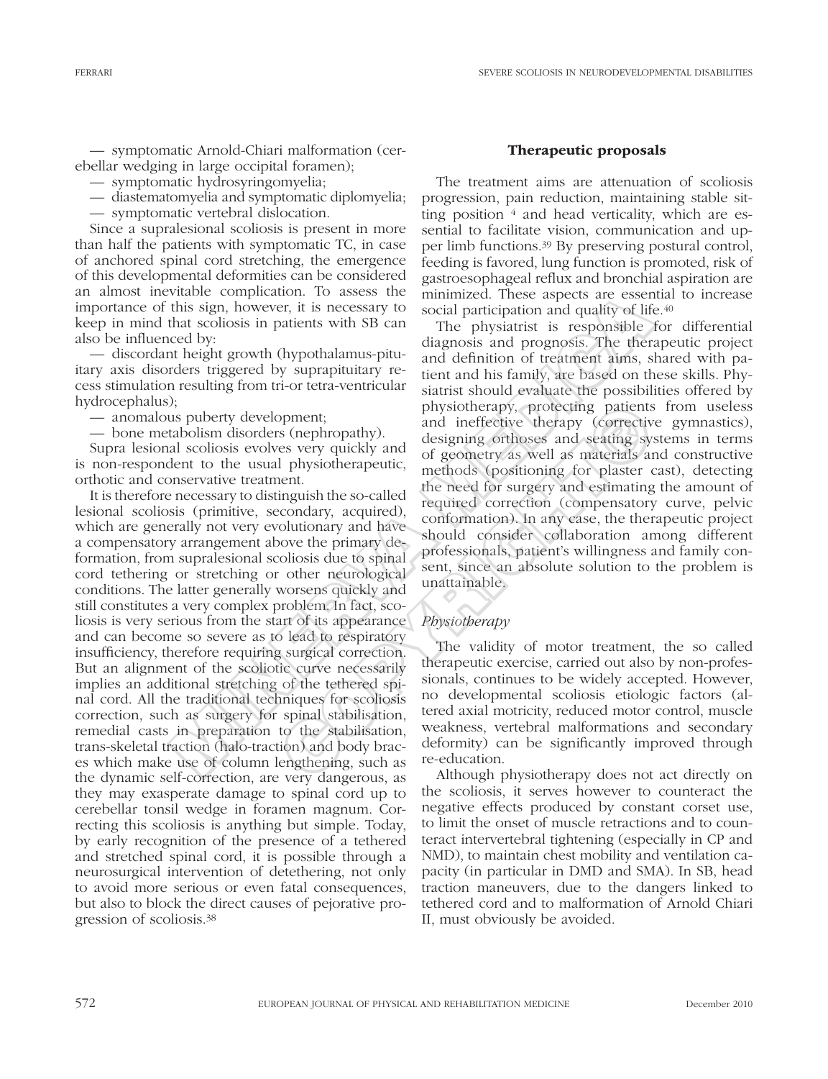— symptomatic Arnold-Chiari malformation (cerebellar wedging in large occipital foramen);

- symptomatic hydrosyringomyelia;
- diastematomyelia and symptomatic diplomyelia;
- symptomatic vertebral dislocation.

Since a supralesional scoliosis is present in more than half the patients with symptomatic TC, in case of anchored spinal cord stretching, the emergence of this developmental deformities can be considered an almost inevitable complication. To assess the importance of this sign, however, it is necessary to keep in mind that scoliosis in patients with SB can also be influenced by:

— discordant height growth (hypothalamus-pituitary axis disorders triggered by suprapituitary recess stimulation resulting from tri-or tetra-ventricular hydrocephalus);

— anomalous puberty development;

— bone metabolism disorders (nephropathy).

Supra lesional scoliosis evolves very quickly and is non-respondent to the usual physiotherapeutic, orthotic and conservative treatment.

It is therefore necessary to distinguish the so-called lesional scoliosis (primitive, secondary, acquired), which are generally not very evolutionary and have a compensatory arrangement above the primary deformation, from supralesional scoliosis due to spinal cord tethering or stretching or other neurological conditions. The latter generally worsens quickly and still constitutes a very complex problem. In fact, scoliosis is very serious from the start of its appearance and can become so severe as to lead to respiratory insufficiency, therefore requiring surgical correction. But an alignment of the scoliotic curve necessarily implies an additional stretching of the tethered spinal cord. All the traditional techniques for scoliosis correction, such as surgery for spinal stabilisation, remedial casts in preparation to the stabilisation, trans-skeletal traction (halo-traction) and body braces which make use of column lengthening, such as the dynamic self-correction, are very dangerous, as they may exasperate damage to spinal cord up to cerebellar tonsil wedge in foramen magnum. Correcting this scoliosis is anything but simple. Today, by early recognition of the presence of a tethered and stretched spinal cord, it is possible through a neurosurgical intervention of detethering, not only to avoid more serious or even fatal consequences, but also to block the direct causes of pejorative progression of scoliosis.38 Whate Complexian: To assess on minimized. These aspects are essents to the highly physical this sign, however, it is necessary to social participation and quality of lift the derotions in patients with SB can The physiatr

### Therapeutic proposals

The treatment aims are attenuation of scoliosis progression, pain reduction, maintaining stable sitting position  $4$  and head verticality, which are essential to facilitate vision, communication and upper limb functions.39 By preserving postural control, feeding is favored, lung function is promoted, risk of gastroesophageal reflux and bronchial aspiration are minimized. These aspects are essential to increase social participation and quality of life.<sup>40</sup>

The physiatrist is responsible for differential diagnosis and prognosis. The therapeutic project and definition of treatment aims, shared with patient and his family, are based on these skills. Physiatrist should evaluate the possibilities offered by physiotherapy, protecting patients from useless and ineffective therapy (corrective gymnastics), designing orthoses and seating systems in terms of geometry as well as materials and constructive methods (positioning for plaster cast), detecting the need for surgery and estimating the amount of required correction (compensatory curve, pelvic conformation). In any case, the therapeutic project should consider collaboration among different professionals, patient's willingness and family consent, since an absolute solution to the problem is unattainable. pyment;<br>
In this computed particity and interferive therapy (correcting patients<br>
as (nephropathy). also designing orthoses and seating sy<br>
es very quickly and<br>
In physiotherapeutic, designing orthoses and seating sy<br>
in t

## *Physiotherapy*

The validity of motor treatment, the so called therapeutic exercise, carried out also by non-professionals, continues to be widely accepted. However, no developmental scoliosis etiologic factors (altered axial motricity, reduced motor control, muscle weakness, vertebral malformations and secondary deformity) can be significantly improved through re-education.

Although physiotherapy does not act directly on the scoliosis, it serves however to counteract the negative effects produced by constant corset use, to limit the onset of muscle retractions and to counteract intervertebral tightening (especially in CP and NMD), to maintain chest mobility and ventilation capacity (in particular in DMD and SMA). In SB, head traction maneuvers, due to the dangers linked to tethered cord and to malformation of Arnold Chiari II, must obviously be avoided.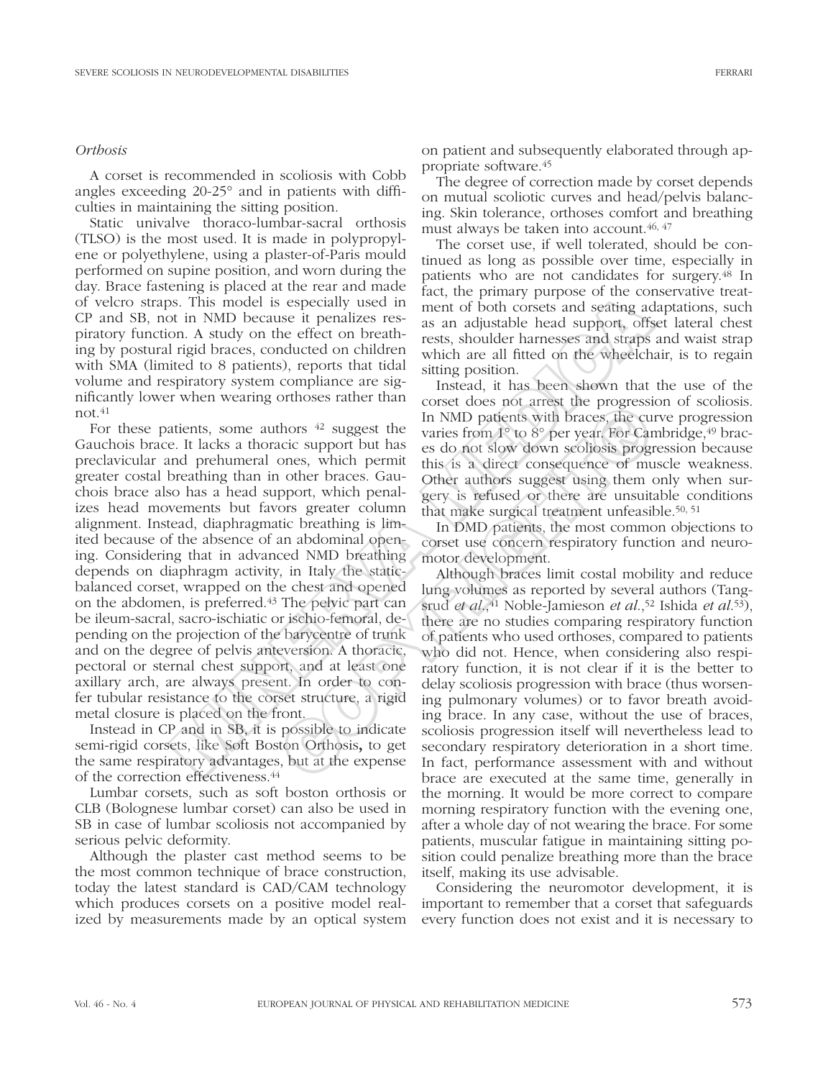### *Orthosis*

A corset is recommended in scoliosis with Cobb angles exceeding 20-25° and in patients with difficulties in maintaining the sitting position.

Static univalve thoraco-lumbar-sacral orthosis (TLSO) is the most used. It is made in polypropylene or polyethylene, using a plaster-of-Paris mould performed on supine position, and worn during the day. Brace fastening is placed at the rear and made of velcro straps. This model is especially used in CP and SB, not in NMD because it penalizes respiratory function. A study on the effect on breathing by postural rigid braces, conducted on children with SMA (limited to 8 patients), reports that tidal volume and respiratory system compliance are significantly lower when wearing orthoses rather than  $not.<sup>41</sup>$ 

For these patients, some authors 42 suggest the Gauchois brace. It lacks a thoracic support but has preclavicular and prehumeral ones, which permit greater costal breathing than in other braces. Gauchois brace also has a head support, which penalizes head movements but favors greater column alignment. Instead, diaphragmatic breathing is limited because of the absence of an abdominal opening. Considering that in advanced NMD breathing depends on diaphragm activity, in Italy the staticbalanced corset, wrapped on the chest and opened on the abdomen, is preferred.43 The pelvic part can be ileum-sacral, sacro-ischiatic or ischio-femoral, depending on the projection of the barycentre of trunk and on the degree of pelvis anteversion. A thoracic, pectoral or sternal chest support, and at least one axillary arch, are always present. In order to confer tubular resistance to the corset structure, a rigid metal closure is placed on the front. s. This model is especially used in each, an puminay purpose of the Configuration. A study on the effect on breath mest if meaning a non. A study on the effect on breath mest is a an adjustable head support, offs rigid br

Instead in CP and in SB, it is possible to indicate semi-rigid corsets, like Soft Boston Orthosis, to get the same respiratory advantages, but at the expense of the correction effectiveness.44

Lumbar corsets, such as soft boston orthosis or CLB (Bolognese lumbar corset) can also be used in SB in case of lumbar scoliosis not accompanied by serious pelvic deformity.

Although the plaster cast method seems to be the most common technique of brace construction, today the latest standard is CAD/CAM technology which produces corsets on a positive model realized by measurements made by an optical system on patient and subsequently elaborated through appropriate software.45

The degree of correction made by corset depends on mutual scoliotic curves and head/pelvis balancing. Skin tolerance, orthoses comfort and breathing must always be taken into account.46, 47

The corset use, if well tolerated, should be continued as long as possible over time, especially in patients who are not candidates for surgery.48 In fact, the primary purpose of the conservative treatment of both corsets and seating adaptations, such as an adjustable head support, offset lateral chest rests, shoulder harnesses and straps and waist strap which are all fitted on the wheelchair, is to regain sitting position.

Instead, it has been shown that the use of the corset does not arrest the progression of scoliosis. In NMD patients with braces, the curve progression varies from  $1^{\circ}$  to  $8^{\circ}$  per year. For Cambridge,  $4^{\circ}$  braces do not slow down scoliosis progression because this is a direct consequence of muscle weakness. Other authors suggest using them only when surgery is refused or there are unsuitable conditions that make surgical treatment unfeasible.50, 51

In DMD patients, the most common objections to corset use concern respiratory function and neuromotor development.

Although braces limit costal mobility and reduce lung volumes as reported by several authors (Tangsrud *et al*.,41 Noble-Jamieson *et al*.,52 Ishida *et al*.53), there are no studies comparing respiratory function of patients who used orthoses, compared to patients who did not. Hence, when considering also respiratory function, it is not clear if it is the better to delay scoliosis progression with brace (thus worsening pulmonary volumes) or to favor breath avoiding brace. In any case, without the use of braces, scoliosis progression itself will nevertheless lead to secondary respiratory deterioration in a short time. In fact, performance assessment with and without brace are executed at the same time, generally in the morning. It would be more correct to compare morning respiratory function with the evening one, after a whole day of not wearing the brace. For some patients, muscular fatigue in maintaining sitting position could penalize breathing more than the brace itself, making its use advisable. thors <sup>42</sup> suggest the values in NMD patients with braces, the curve in NMD patients with braces, the curve in this is a direct consequence of muchones, which permit this is a direct consequence of muchones, which permit

> Considering the neuromotor development, it is important to remember that a corset that safeguards every function does not exist and it is necessary to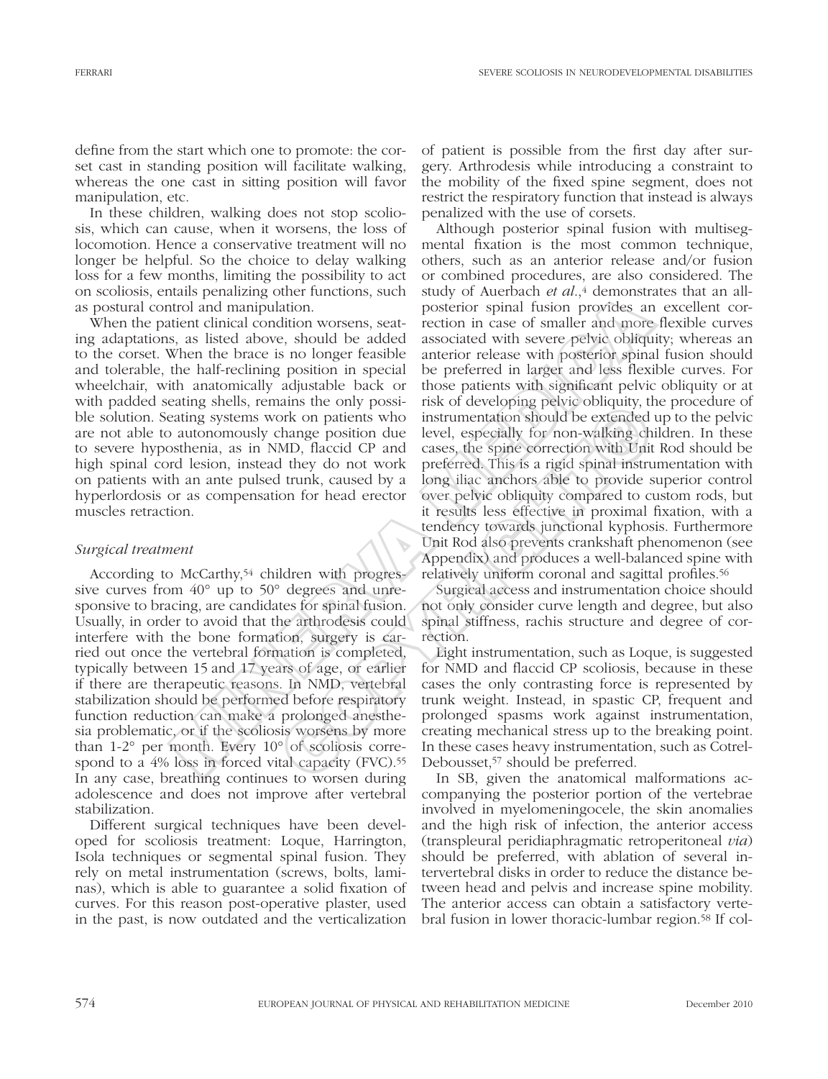define from the start which one to promote: the corset cast in standing position will facilitate walking, whereas the one cast in sitting position will favor manipulation, etc.

In these children, walking does not stop scoliosis, which can cause, when it worsens, the loss of locomotion. Hence a conservative treatment will no longer be helpful. So the choice to delay walking loss for a few months, limiting the possibility to act on scoliosis, entails penalizing other functions, such as postural control and manipulation.

When the patient clinical condition worsens, seating adaptations, as listed above, should be added to the corset. When the brace is no longer feasible and tolerable, the half-reclining position in special wheelchair, with anatomically adjustable back or with padded seating shells, remains the only possible solution. Seating systems work on patients who are not able to autonomously change position due to severe hyposthenia, as in NMD, flaccid CP and high spinal cord lesion, instead they do not work on patients with an ante pulsed trunk, caused by a hyperlordosis or as compensation for head erector muscles retraction.

## *Surgical treatment*

According to McCarthy,<sup>54</sup> children with progressive curves from 40° up to 50° degrees and unresponsive to bracing, are candidates for spinal fusion. Usually, in order to avoid that the arthrodesis could interfere with the bone formation, surgery is carried out once the vertebral formation is completed, typically between 15 and 17 years of age, or earlier if there are therapeutic reasons. In NMD, vertebral stabilization should be performed before respiratory function reduction can make a prolonged anesthesia problematic, or if the scoliosis worsens by more than 1-2° per month. Every 10° of scoliosis correspond to a 4% loss in forced vital capacity (FVC).<sup>55</sup> In any case, breathing continues to worsen during adolescence and does not improve after vertebral stabilization.

Different surgical techniques have been developed for scoliosis treatment: Loque, Harrington, Isola techniques or segmental spinal fusion. They rely on metal instrumentation (screws, bolts, laminas), which is able to guarantee a solid fixation of curves. For this reason post-operative plaster, used in the past, is now outdated and the verticalization of patient is possible from the first day after surgery. Arthrodesis while introducing a constraint to the mobility of the fixed spine segment, does not restrict the respiratory function that instead is always penalized with the use of corsets.

Although posterior spinal fusion with multisegmental fixation is the most common technique, others, such as an anterior release and/or fusion or combined procedures, are also considered. The study of Auerbach *et al.*,<sup>4</sup> demonstrates that an allposterior spinal fusion provides an excellent correction in case of smaller and more flexible curves associated with severe pelvic obliquity; whereas an anterior release with posterior spinal fusion should be preferred in larger and less flexible curves. For those patients with significant pelvic obliquity or at risk of developing pelvic obliquity, the procedure of instrumentation should be extended up to the pelvic level, especially for non-walking children. In these cases, the spine correction with Unit Rod should be preferred. This is a rigid spinal instrumentation with long iliac anchors able to provide superior control over pelvic obliquity compared to custom rods, but it results less effective in proximal fixation, with a tendency towards junctional kyphosis. Furthermore Unit Rod also prevents crankshaft phenomenon (see Appendix) and produces a well-balanced spine with relatively uniform coronal and sagittal profiles.56 and prediction interesting one is the consider of the selection and manipulation.<br>
Itrol and manipulation. The selection increase simple mode of small fusion provides an<br>
itrol and manipulation. The selection increase with and a completed to the operator in the original and the original of the product of a cases to accept the steeded change position due level, especially for non-walking ch MD, flaccid CP and cases, the spine correction with

Surgical access and instrumentation choice should not only consider curve length and degree, but also spinal stiffness, rachis structure and degree of correction.

Light instrumentation, such as Loque, is suggested for NMD and flaccid CP scoliosis, because in these cases the only contrasting force is represented by trunk weight. Instead, in spastic CP, frequent and prolonged spasms work against instrumentation, creating mechanical stress up to the breaking point. In these cases heavy instrumentation, such as Cotrel-Debousset,<sup>57</sup> should be preferred.

In SB, given the anatomical malformations accompanying the posterior portion of the vertebrae involved in myelomeningocele, the skin anomalies and the high risk of infection, the anterior access (transpleural peridiaphragmatic retroperitoneal *via*) should be preferred, with ablation of several intervertebral disks in order to reduce the distance between head and pelvis and increase spine mobility. The anterior access can obtain a satisfactory vertebral fusion in lower thoracic-lumbar region.58 If col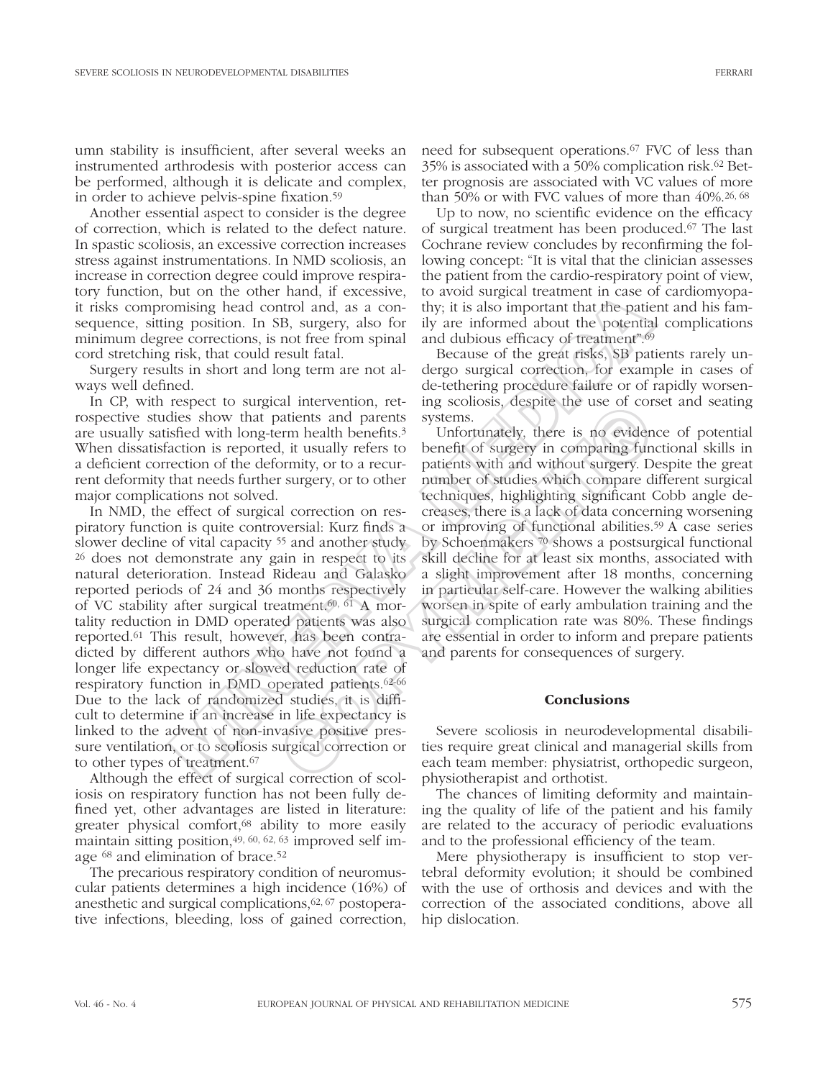umn stability is insufficient, after several weeks an instrumented arthrodesis with posterior access can be performed, although it is delicate and complex, in order to achieve pelvis-spine fixation.59

Another essential aspect to consider is the degree of correction, which is related to the defect nature. In spastic scoliosis, an excessive correction increases stress against instrumentations. In NMD scoliosis, an increase in correction degree could improve respiratory function, but on the other hand, if excessive, it risks compromising head control and, as a consequence, sitting position. In SB, surgery, also for minimum degree corrections, is not free from spinal cord stretching risk, that could result fatal.

Surgery results in short and long term are not always well defined.

In CP, with respect to surgical intervention, retrospective studies show that patients and parents are usually satisfied with long-term health benefits.3 When dissatisfaction is reported, it usually refers to a deficient correction of the deformity, or to a recurrent deformity that needs further surgery, or to other major complications not solved.

In NMD, the effect of surgical correction on respiratory function is quite controversial: Kurz finds a slower decline of vital capacity 55 and another study 26 does not demonstrate any gain in respect to its natural deterioration. Instead Rideau and Galasko reported periods of 24 and 36 months respectively of VC stability after surgical treatment.60, 61 A mortality reduction in DMD operated patients was also reported.61 This result, however, has been contradicted by different authors who have not found a longer life expectancy or slowed reduction rate of respiratory function in DMD operated patients.62-66 Due to the lack of randomized studies, it is difficult to determine if an increase in life expectancy is linked to the advent of non-invasive positive pressure ventilation, or to scoliosis surgical correction or to other types of treatment.67 baronic material, a excessive, to avoid suppression control and particular these particular measure of excessive, to avoid suppression. In SB, suppression, in SB, suppression, in SB, suppression, in SB, suppression, in SB,

Although the effect of surgical correction of scoliosis on respiratory function has not been fully defined yet, other advantages are listed in literature: greater physical comfort,<sup>68</sup> ability to more easily maintain sitting position,49, 60, 62, 63 improved self image 68 and elimination of brace.52

The precarious respiratory condition of neuromuscular patients determines a high incidence (16%) of anesthetic and surgical complications,62, 67 postoperative infections, bleeding, loss of gained correction,

need for subsequent operations.67 FVC of less than 35% is associated with a 50% complication risk.62 Better prognosis are associated with VC values of more than 50% or with FVC values of more than 40%.26, 68

Up to now, no scientific evidence on the efficacy of surgical treatment has been produced.67 The last Cochrane review concludes by reconfirming the following concept: "It is vital that the clinician assesses the patient from the cardio-respiratory point of view, to avoid surgical treatment in case of cardiomyopathy; it is also important that the patient and his family are informed about the potential complications and dubious efficacy of treatment".69

Because of the great risks, SB patients rarely undergo surgical correction, for example in cases of de-tethering procedure failure or of rapidly worsening scoliosis, despite the use of corset and seating systems.

Unfortunately, there is no evidence of potential benefit of surgery in comparing functional skills in patients with and without surgery. Despite the great number of studies which compare different surgical techniques, highlighting significant Cobb angle decreases, there is a lack of data concerning worsening or improving of functional abilities.59 A case series by Schoenmakers 70 shows a postsurgical functional skill decline for at least six months, associated with a slight improvement after 18 months, concerning in particular self-care. However the walking abilities worsen in spite of early ambulation training and the surgical complication rate was 80%. These findings are essential in order to inform and prepare patients and parents for consequences of surgery. an intervention, te- in systems. Supple the use of correlations and parents systems.<br>
Erm health benefits.<sup>3</sup> Unfortunately, there is no evidently, it is usually refers to benefit of sugery in comparing fundaminty, or to a

### **Conclusions**

Severe scoliosis in neurodevelopmental disabilities require great clinical and managerial skills from each team member: physiatrist, orthopedic surgeon, physiotherapist and orthotist.

The chances of limiting deformity and maintaining the quality of life of the patient and his family are related to the accuracy of periodic evaluations and to the professional efficiency of the team.

Mere physiotherapy is insufficient to stop vertebral deformity evolution; it should be combined with the use of orthosis and devices and with the correction of the associated conditions, above all hip dislocation.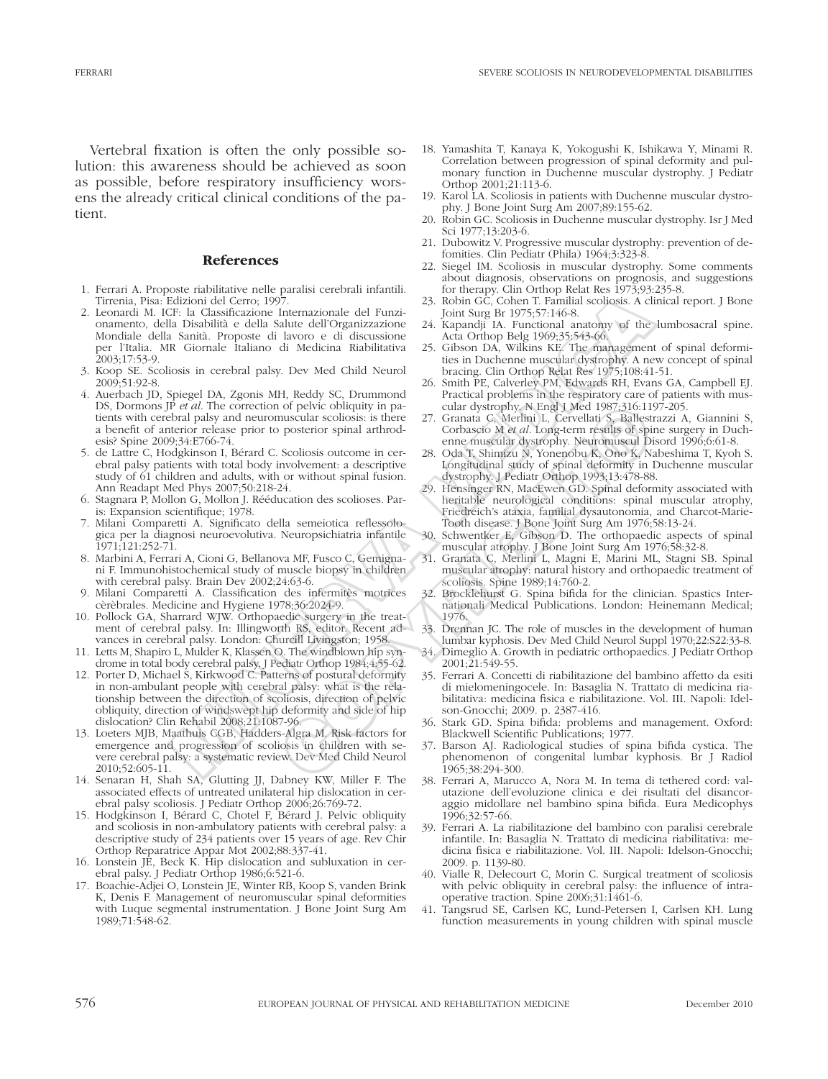Vertebral fixation is often the only possible solution: this awareness should be achieved as soon as possible, before respiratory insufficiency worsens the already critical clinical conditions of the patient.

#### References

- 1. Ferrari A. Proposte riabilitative nelle paralisi cerebrali infantili. Tirrenia, Pisa: Edizioni del Cerro; 1997.
- 2. Leonardi M. ICF: la Classificazione Internazionale del Funzionamento, della Disabilità e della Salute dell'Organizzazione Mondiale della Sanità. Proposte di lavoro e di discussione per l'Italia. MR Giornale Italiano di Medicina Riabilitativa .<br>2003;17:53-9.
- 3. Koop SE. Scoliosis in cerebral palsy. Dev Med Child Neurol 2009;51:92-8.
- 4. Auerbach JD, Spiegel DA, Zgonis MH, Reddy SC, Drummond DS, Dormons JP *et al*. The correction of pelvic obliquity in patients with cerebral palsy and neuromuscular scoliosis: is there a benefit of anterior release prior to posterior spinal arthrodesis? Spine 2009;34:E766-74.
- 5. de Lattre C, Hodgkinson I, Bérard C. Scoliosis outcome in cerebral palsy patients with total body involvement: a descriptive study of 61 children and adults, with or without spinal fusion. Ann Readapt Med Phys 2007;50:218-24.
- 6. Stagnara P, Mollon G, Mollon J. Rééducation des scolioses. Paris: Expansion scientifique; 1978.
- 7. Milani Comparetti A. Significato della semeiotica reflessologica per la diagnosi neuroevolutiva. Neuropsichiatria infantile 1971;121:252-71.
- 8. Marbini A, Ferrari A, Cioni G, Bellanova MF, Fusco C, Gemignani F. Immunohistochemical study of muscle biopsy in children with cerebral palsy. Brain Dev 2002;24:63-6.
- 9. Milani Comparetti A. Classification des infermitès motrices cèrèbrales. Medicine and Hygiene 1978;36:2024-9.
- 10. Pollock GA, Sharrard WJW. Orthopaedic surgery in the treatment of cerebral palsy. In: Illingworth RS, editor. Recent advances in cerebral palsy. London: Churcill Livingston; 1958.
- 11. Letts M, Shapiro L, Mulder K, Klassen O. The windblown hip syndrome in total body cerebral palsy. J Pediatr Orthop 1984;4:55-62.
- 12. Porter D, Michael S, Kirkwood C. Patterns of postural deformity in non-ambulant people with cerebral palsy: what is the relationship between the direction of scoliosis, direction of pelvic obliquity, direction of windswept hip deformity and side of hip dislocation? Clin Rehabil 2008;21:1087-96. dizioni del Cero, 1997.<br>
a Classificazione Internazionale del Punzi - 23. Robin GC, Colora F. Tamilial sociosis A di Disabilità e dell'al Salue dell'al sociosis A di Disabilità e della Salue dell'al sociosis - 24. Kapadij
- 13. Loeters MJB, Maathuis CGB, Hadders-Algra M. Risk factors for emergence and progression of scoliosis in children with severe cerebral palsy: a systematic review. Dev Med Child Neurol 2010;52:605-11.
- 14. Senaran H, Shah SA, Glutting JJ, Dabney KW, Miller F. The associated effects of untreated unilateral hip dislocation in cerebral palsy scoliosis. J Pediatr Orthop 2006;26:769-72.
- 15. Hodgkinson I, Bérard C, Chotel F, Bérard J. Pelvic obliquity and scoliosis in non-ambulatory patients with cerebral palsy: a descriptive study of 234 patients over 15 years of age. Rev Chir Orthop Reparatrice Appar Mot 2002;88:337-41.
- 16. Lonstein JE, Beck K. Hip dislocation and subluxation in cerebral palsy. J Pediatr Orthop 1986;6:521-6.
- 17. Boachie-Adjei O, Lonstein JE, Winter RB, Koop S, vanden Brink K, Denis F. Management of neuromuscular spinal deformities with Luque segmental instrumentation. J Bone Joint Surg Am 1989;71:548-62.
- 18. Yamashita T, Kanaya K, Yokogushi K, Ishikawa Y, Minami R. Correlation between progression of spinal deformity and pulmonary function in Duchenne muscular dystrophy. J Pediatr Orthop 2001;21:113-6.
- 19. Karol LA. Scoliosis in patients with Duchenne muscular dystrophy. J Bone Joint Surg Am 2007;89:155-62.
- 20. Robin GC. Scoliosis in Duchenne muscular dystrophy. Isr J Med Sci 1977;13:203-6.
- 21. Dubowitz V. Progressive muscular dystrophy: prevention of defomities. Clin Pediatr (Phila) 1964;3:323-8.
- 22. Siegel IM. Scoliosis in muscular dystrophy. Some comments about diagnosis, observations on prognosis, and suggestions for therapy. Clin Orthop Relat Res 1973;93:235-8.
- 23. Robin GC, Cohen T. Familial scoliosis. A clinical report. J Bone Joint Surg Br 1975;57:146-8.
- 24. Kapandji IA. Functional anatomy of the lumbosacral spine. Acta Orthop Belg 1969;35:543-66.
- 25. Gibson DA, Wilkins KE. The management of spinal deformities in Duchenne muscular dystrophy. A new concept of spinal bracing. Clin Orthop Relat Res 1975;108:41-51.
- 26. Smith PE, Calverley PM, Edwards RH, Evans GA, Campbell EJ. Practical problems in the respiratory care of patients with muscular dystrophy. N Engl J Med 1987;316:1197-205.
- 27. Granata C, Merlini L, Cervellati S, Ballestrazzi A, Giannini S, Corbascio M *et al*. Long-term results of spine surgery in Duchenne muscular dystrophy. Neuromuscul Disord 1996;6:61-8.
- 28. Oda T, Shimizu N, Yonenobu K, Ono K, Nabeshima T, Kyoh S. Longitudinal study of spinal deformity in Duchenne muscular dystrophy. J Pediatr Orthop 1993;13:478-88.
- 29. Hensinger RN, MacEwen GD. Spinal deformity associated with heritable neurological conditions: spinal muscular atrophy, Friedreich's ataxia, familial dysautonomia, and Charcot-Marie-Tooth disease. J Bone Joint Surg Am 1976;58:13-24. of pelvic obliquity in pa-<br>
colonisis: is there 27. Granata G, Merlini L, Cervellati S, Ballest<br>
posterior spinal arthrod-<br>
Corbassio M et al. Long-term results of spin<br>
Scoliosis outcome in cer-<br>
28. Oda T, Shimiziu N, Yo
	- 30. Schwentker E, Gibson D. The orthopaedic aspects of spinal muscular atrophy. J Bone Joint Surg Am 1976;58:32-8.
	- 31. Granata C, Merlini L, Magni E, Marini ML, Stagni SB. Spinal muscular atrophy: natural history and orthopaedic treatment of scoliosis. Spine 1989;14:760-2.
	- 32. Brocklehurst G. Spina bifida for the clinician. Spastics Internationali Medical Publications. London: Heinemann Medical; 1976.
	- 33. Drennan JC. The role of muscles in the development of human lumbar kyphosis. Dev Med Child Neurol Suppl 1970;22:S22:33-8.
	- 34. Dimeglio A. Growth in pediatric orthopaedics. J Pediatr Orthop 2001;21:549-55.
	- 35. Ferrari A. Concetti di riabilitazione del bambino affetto da esiti di mielomeningocele. In: Basaglia N. Trattato di medicina riabilitativa: medicina fisica e riabilitazione. Vol. III. Napoli: Idelson-Gnocchi; 2009. p. 2387-416.
	- 36. Stark GD. Spina bifida: problems and management. Oxford: Blackwell Scientific Publications; 1977.
	- 37. Barson AJ. Radiological studies of spina bifida cystica. The phenomenon of congenital lumbar kyphosis. Br J Radiol 1965;38:294-300.
	- 38. Ferrari A, Marucco A, Nora M. In tema di tethered cord: valutazione dell'evoluzione clinica e dei risultati del disancoraggio midollare nel bambino spina bifida. Eura Medicophys 1996;32:57-66.
	- 39. Ferrari A. La riabilitazione del bambino con paralisi cerebrale infantile. In: Basaglia N. Trattato di medicina riabilitativa: medicina fisica e riabilitazione. Vol. III. Napoli: Idelson-Gnocchi; 2009. p. 1139-80.
	- 40. Vialle R, Delecourt C, Morin C. Surgical treatment of scoliosis with pelvic obliquity in cerebral palsy: the influence of intraoperative traction. Spine 2006;31:1461-6.
	- 41. Tangsrud SE, Carlsen KC, Lund-Petersen I, Carlsen KH. Lung function measurements in young children with spinal muscle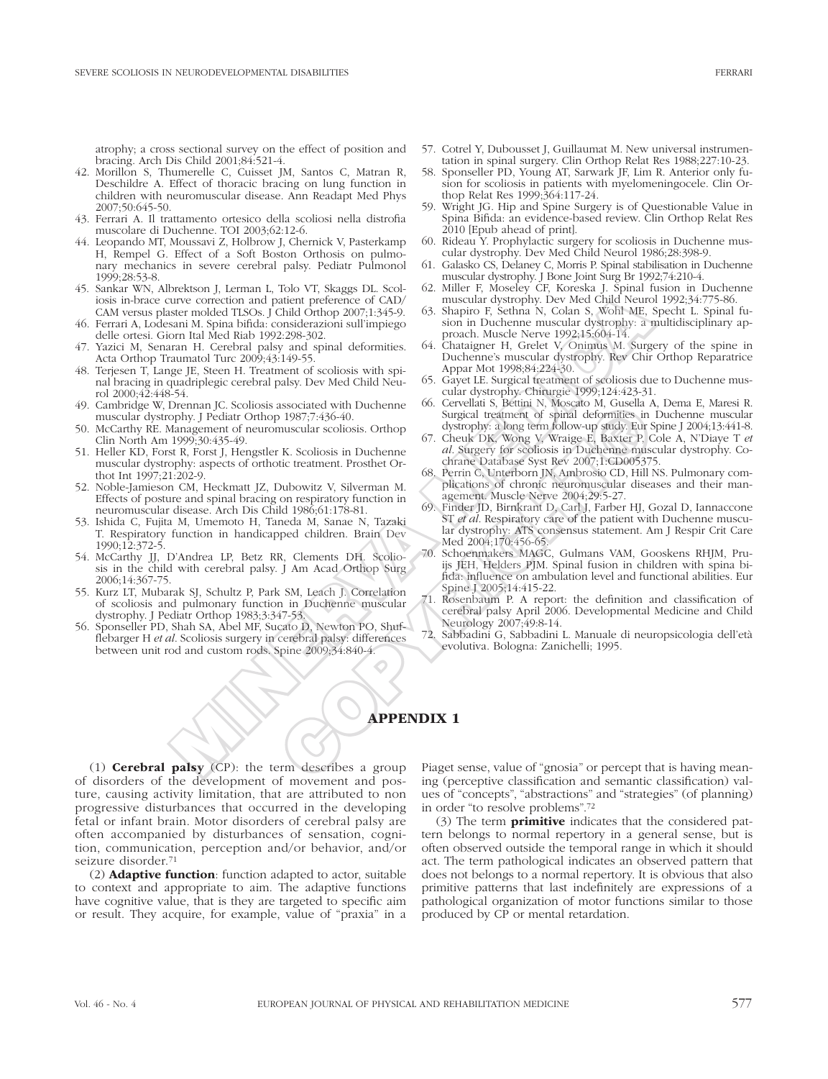atrophy; a cross sectional survey on the effect of position and bracing. Arch Dis Child 2001;84:521-4.

- 42. Morillon S, Thumerelle C, Cuisset JM, Santos C, Matran R, Deschildre A. Effect of thoracic bracing on lung function in children with neuromuscular disease. Ann Readapt Med Phys 2007;50:645-50.
- 43. Ferrari A. Il trattamento ortesico della scoliosi nella distrofia muscolare di Duchenne. TOI 2003;62:12-6.
- 44. Leopando MT, Moussavi Z, Holbrow J, Chernick V, Pasterkamp H, Rempel G. Effect of a Soft Boston Orthosis on pulmonary mechanics in severe cerebral palsy. Pediatr Pulmonol 1999;28:53-8.
- 45. Sankar WN, Albrektson J, Lerman L, Tolo VT, Skaggs DL. Scoliosis in-brace curve correction and patient preference of CAD/ CAM versus plaster molded TLSOs. J Child Orthop 2007;1:345-9.
- 46. Ferrari A, Lodesani M. Spina bifida: considerazioni sull'impiego delle ortesi. Giorn Ital Med Riab 1992:298-302.
- 47. Yazici M, Senaran H. Cerebral palsy and spinal deformities. Acta Orthop Traumatol Turc 2009;43:149-55.
- 48. Terjesen T, Lange JE, Steen H. Treatment of scoliosis with spinal bracing in quadriplegic cerebral palsy. Dev Med Child Neurol 2000;42:448-54.
- 49. Cambridge W, Drennan JC. Scoliosis associated with Duchenne muscular dystrophy. J Pediatr Orthop 1987;7:436-40.
- 50. McCarthy RE. Management of neuromuscular scoliosis. Orthop Clin North Am 1999;30:435-49.
- 51. Heller KD, Forst R, Forst J, Hengstler K. Scoliosis in Duchenne muscular dystrophy: aspects of orthotic treatment. Prosthet Orthot Int 1997;21:202-9.
- 52. Noble-Jamieson CM, Heckmatt JZ, Dubowitz V, Silverman M. Effects of posture and spinal bracing on respiratory function in neuromuscular disease. Arch Dis Child 1986;61:178-81.
- 53. Ishida C, Fujita M, Umemoto H, Taneda M, Sanae N, Tazaki T. Respiratory function in handicapped children. Brain Dev 1990;12:372-5.
- 54. McCarthy JJ, D'Andrea LP, Betz RR, Clements DH. Scoliosis in the child with cerebral palsy. J Am Acad Orthop Surg 2006;14:367-75.
- 55. Kurz LT, Mubarak SJ, Schultz P, Park SM, Leach J. Correlation of scoliosis and pulmonary function in Duchenne muscular dystrophy. J Pediatr Orthop 1983;3:347-53.
- 56. Sponseller PD, Shah SA, Abel MF, Sucato D, Newton PO, Shufflebarger H *et al*. Scoliosis surgery in cerebral palsy: differences between unit rod and custom rods. Spine 2009;34:840-4.
- 57. Cotrel Y, Dubousset J, Guillaumat M. New universal instrumentation in spinal surgery. Clin Orthop Relat Res 1988;227:10-23.
- 58. Sponseller PD, Young AT, Sarwark JF, Lim R. Anterior only fusion for scoliosis in patients with myelomeningocele. Clin Orthop Relat Res 1999;364:117-24.
- 59. Wright JG. Hip and Spine Surgery is of Questionable Value in Spina Bifida: an evidence-based review. Clin Orthop Relat Res 2010 [Epub ahead of print].
- 60. Rideau Y. Prophylactic surgery for scoliosis in Duchenne muscular dystrophy. Dev Med Child Neurol 1986;28:398-9.
- 61. Galasko CS, Delaney C, Morris P. Spinal stabilisation in Duchenne muscular dystrophy. J Bone Joint Surg Br 1992;74:210-4.
- 62. Miller F, Moseley CF, Koreska J. Spinal fusion in Duchenne muscular dystrophy. Dev Med Child Neurol 1992;34:775-86.
- 63. Shapiro F, Sethna N, Colan S, Wohl ME, Specht L. Spinal fusion in Duchenne muscular dystrophy: a multidisciplinary approach. Muscle Nerve 1992;15:604-14.
- 64. Chataigner H, Grelet V, Onimus M. Surgery of the spine in Duchenne's muscular dystrophy. Rev Chir Orthop Reparatrice Appar Mot 1998;84:224-30.
- 65. Gayet LE. Surgical treatment of scoliosis due to Duchenne muscular dystrophy. Chirurgie 1999;124:423-31.
- 66. Cervellati S, Bettini N, Moscato M, Gusella A, Dema E, Maresi R. Surgical treatment of spinal deformities in Duchenne muscular dystrophy: a long term follow-up study. Eur Spine J 2004;13:441-8.
- 67. Cheuk DK, Wong V, Wraige E, Baxter P, Cole A, N'Diaye T *et al*. Surgery for scoliosis in Duchenne muscular dystrophy. Cochrane Database Syst Rev 2007;1:CD005375.
- 68. Perrin C, Unterborn JN, Ambrosio CD, Hill NS. Pulmonary complications of chronic neuromuscular diseases and their management. Muscle Nerve 2004;29:5-27.
- 69. Finder JD, Birnkrant D, Carl J, Farber HJ, Gozal D, Iannaccone ST *et al*. Respiratory care of the patient with Duchenne muscular dystrophy: ATS consensus statement. Am J Respir Crit Care Med 2004;170:456-65.
- Schoenmakers MAGC, Gulmans VAM, Gooskens RHJM, Pruijs JEH, Helders PJM. Spinal fusion in children with spina bifida: influence on ambulation level and functional abilities. Eur Spine J 2005;14:415-22. uve correction and pairing perfection of pairing the strength of the pairing in the spin in Duchenne muscular display and Markon Strength (Markon Strength (Markon Strength): and Markon Strength (Markon Strength (Markon Str cociety and Duchenne<br>
1987;7:436-40.<br>
1987;7:436-40.<br>
1987;7:436-40.<br>
Surgical recainent of spinal deformities in<br>
muscular scoliosis. Orthop<br>
67. Cheuk DK, Wong V, Wraige F, Baxter P, C<br>
tic treatment. Proshet Or-<br>
d. Sur
	- Rosenbaum P. A report: the definition and classification of cerebral palsy April 2006. Developmental Medicine and Child Neurology 2007;49:8-14.
	- 72. Sabbadini G, Sabbadini L. Manuale di neuropsicologia dell'età evolutiva. Bologna: Zanichelli; 1995.

# Appendix 1

(1) **Cerebral palsy** (CP): the term describes a group of disorders of the development of movement and posture, causing activity limitation, that are attributed to non progressive disturbances that occurred in the developing fetal or infant brain. Motor disorders of cerebral palsy are often accompanied by disturbances of sensation, cognition, communication, perception and/or behavior, and/or seizure disorder.71

(2) Adaptive function: function adapted to actor, suitable to context and appropriate to aim. The adaptive functions have cognitive value, that is they are targeted to specific aim or result. They acquire, for example, value of "praxia" in a Piaget sense, value of "gnosia" or percept that is having meaning (perceptive classification and semantic classification) values of "concepts", "abstractions" and "strategies" (of planning) in order "to resolve problems".72

(3) The term primitive indicates that the considered pattern belongs to normal repertory in a general sense, but is often observed outside the temporal range in which it should act. The term pathological indicates an observed pattern that does not belongs to a normal repertory. It is obvious that also primitive patterns that last indefinitely are expressions of a pathological organization of motor functions similar to those produced by CP or mental retardation.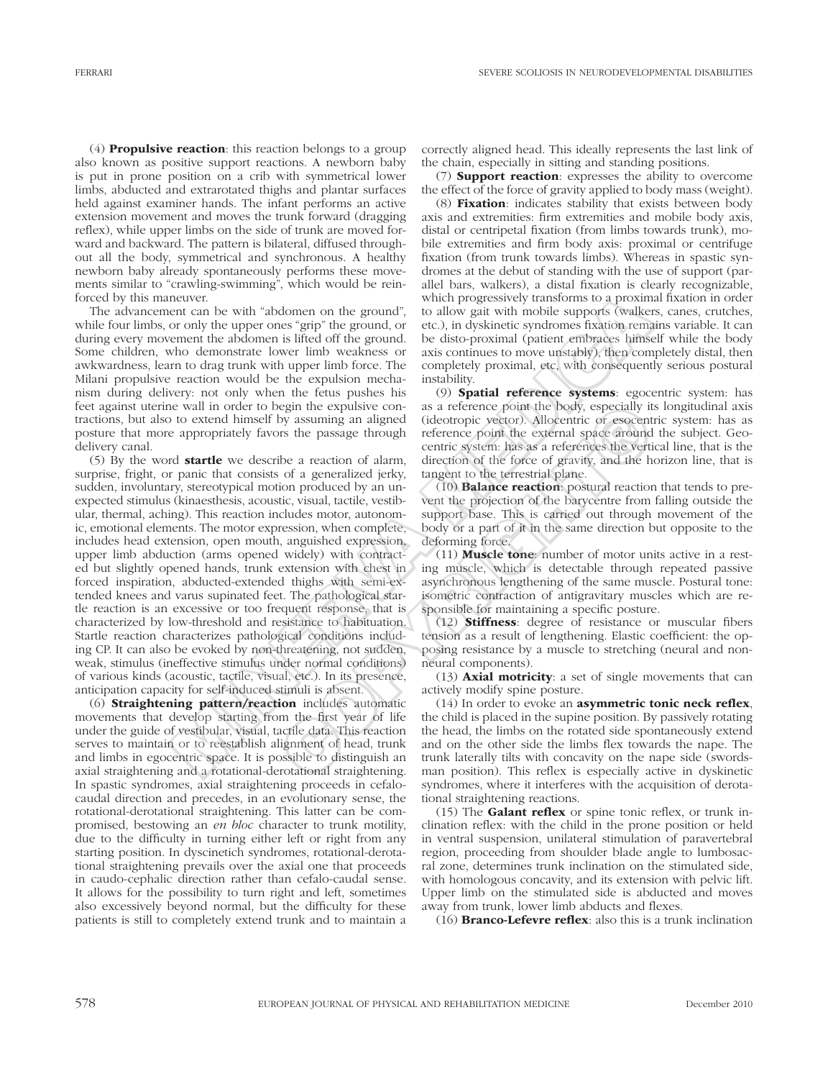(4) Propulsive reaction: this reaction belongs to a group also known as positive support reactions. A newborn baby is put in prone position on a crib with symmetrical lower limbs, abducted and extrarotated thighs and plantar surfaces held against examiner hands. The infant performs an active extension movement and moves the trunk forward (dragging reflex), while upper limbs on the side of trunk are moved forward and backward. The pattern is bilateral, diffused throughout all the body, symmetrical and synchronous. A healthy newborn baby already spontaneously performs these movements similar to "crawling-swimming", which would be reinforced by this maneuver.

The advancement can be with "abdomen on the ground", while four limbs, or only the upper ones "grip" the ground, or during every movement the abdomen is lifted off the ground. Some children, who demonstrate lower limb weakness or awkwardness, learn to drag trunk with upper limb force. The Milani propulsive reaction would be the expulsion mechanism during delivery: not only when the fetus pushes his feet against uterine wall in order to begin the expulsive contractions, but also to extend himself by assuming an aligned posture that more appropriately favors the passage through delivery canal.

(5) By the word startle we describe a reaction of alarm, surprise, fright, or panic that consists of a generalized jerky, sudden, involuntary, stereotypical motion produced by an unexpected stimulus (kinaesthesis, acoustic, visual, tactile, vestibular, thermal, aching). This reaction includes motor, autonomic, emotional elements. The motor expression, when complete, includes head extension, open mouth, anguished expression, upper limb abduction (arms opened widely) with contracted but slightly opened hands, trunk extension with chest in forced inspiration, abducted-extended thighs with semi-extended knees and varus supinated feet. The pathological startle reaction is an excessive or too frequent response, that is characterized by low-threshold and resistance to habituation. Startle reaction characterizes pathological conditions including CP. It can also be evoked by non-threatening, not sudden, weak, stimulus (ineffective stimulus under normal conditions) of various kinds (acoustic, tactile, visual, etc.). In its presence, anticipation capacity for self-induced stimuli is absent. metricure.<br>
metricure with progressively transforms to a proxime which progressively reading that the proof of only and the upper ones "say" the ground, or etc.) in dyskinetic syntemes have one only the upper ones "say" in egin the expulsive condition (altertate point the body, especially it assuming an aligned (ideotropic vector). Allocentric or esocent the passage through reference point the external space around centric system: has as a r

(6) Straightening pattern/reaction includes automatic movements that develop starting from the first year of life under the guide of vestibular, visual, tactile data. This reaction serves to maintain or to reestablish alignment of head, trunk and limbs in egocentric space. It is possible to distinguish an axial straightening and a rotational-derotational straightening. In spastic syndromes, axial straightening proceeds in cefalocaudal direction and precedes, in an evolutionary sense, the rotational-derotational straightening. This latter can be compromised, bestowing an *en bloc* character to trunk motility, due to the difficulty in turning either left or right from any starting position. In dyscinetich syndromes, rotational-derotational straightening prevails over the axial one that proceeds in caudo-cephalic direction rather than cefalo-caudal sense. It allows for the possibility to turn right and left, sometimes also excessively beyond normal, but the difficulty for these patients is still to completely extend trunk and to maintain a correctly aligned head. This ideally represents the last link of the chain, especially in sitting and standing positions.

(7) Support reaction: expresses the ability to overcome the effect of the force of gravity applied to body mass (weight).

(8) Fixation: indicates stability that exists between body axis and extremities: firm extremities and mobile body axis, distal or centripetal fixation (from limbs towards trunk), mobile extremities and firm body axis: proximal or centrifuge fixation (from trunk towards limbs). Whereas in spastic syndromes at the debut of standing with the use of support (parallel bars, walkers), a distal fixation is clearly recognizable, which progressively transforms to a proximal fixation in order to allow gait with mobile supports (walkers, canes, crutches, etc.), in dyskinetic syndromes fixation remains variable. It can be disto-proximal (patient embraces himself while the body axis continues to move unstably), then completely distal, then completely proximal, etc, with consequently serious postural instability.

(9) Spatial reference systems: egocentric system: has as a reference point the body, especially its longitudinal axis (ideotropic vector). Allocentric or esocentric system: has as reference point the external space around the subject. Geocentric system: has as a references the vertical line, that is the direction of the force of gravity, and the horizon line, that is tangent to the terrestrial plane.

(10) Balance reaction: postural reaction that tends to prevent the projection of the barycentre from falling outside the support base. This is carried out through movement of the body or a part of it in the same direction but opposite to the deforming force.

(11) Muscle tone: number of motor units active in a resting muscle, which is detectable through repeated passive asynchronous lengthening of the same muscle. Postural tone: isometric contraction of antigravitary muscles which are responsible for maintaining a specific posture.

(12) Stiffness: degree of resistance or muscular fibers tension as a result of lengthening. Elastic coefficient: the opposing resistance by a muscle to stretching (neural and nonneural components).

(13) Axial motricity: a set of single movements that can actively modify spine posture.

(14) In order to evoke an asymmetric tonic neck reflex, the child is placed in the supine position. By passively rotating the head, the limbs on the rotated side spontaneously extend and on the other side the limbs flex towards the nape. The trunk laterally tilts with concavity on the nape side (swordsman position). This reflex is especially active in dyskinetic syndromes, where it interferes with the acquisition of derotational straightening reactions.

(15) The Galant reflex or spine tonic reflex, or trunk inclination reflex: with the child in the prone position or held in ventral suspension, unilateral stimulation of paravertebral region, proceeding from shoulder blade angle to lumbosacral zone, determines trunk inclination on the stimulated side, with homologous concavity, and its extension with pelvic lift. Upper limb on the stimulated side is abducted and moves away from trunk, lower limb abducts and flexes.

(16) Branco-Lefevre reflex: also this is a trunk inclination